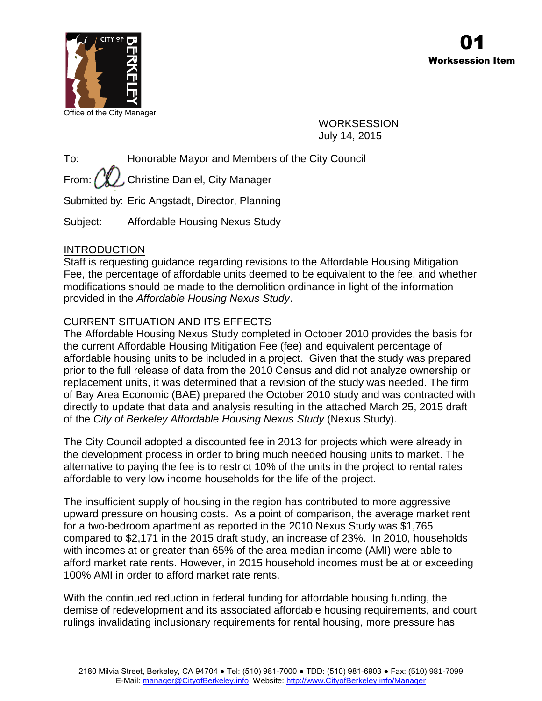

WORKSESSION July 14, 2015

To: Honorable Mayor and Members of the City Council

From:  $\binom{n}{k}$ , Christine Daniel, City Manager

Submitted by: Eric Angstadt, Director, Planning

Subject: Affordable Housing Nexus Study

#### **INTRODUCTION**

Staff is requesting guidance regarding revisions to the Affordable Housing Mitigation Fee, the percentage of affordable units deemed to be equivalent to the fee, and whether modifications should be made to the demolition ordinance in light of the information provided in the *Affordable Housing Nexus Study*.

#### CURRENT SITUATION AND ITS EFFECTS

The Affordable Housing Nexus Study completed in October 2010 provides the basis for the current Affordable Housing Mitigation Fee (fee) and equivalent percentage of affordable housing units to be included in a project. Given that the study was prepared prior to the full release of data from the 2010 Census and did not analyze ownership or replacement units, it was determined that a revision of the study was needed. The firm of Bay Area Economic (BAE) prepared the October 2010 study and was contracted with directly to update that data and analysis resulting in the attached March 25, 2015 draft of the *City of Berkeley Affordable Housing Nexus Study* (Nexus Study).

The City Council adopted a discounted fee in 2013 for projects which were already in the development process in order to bring much needed housing units to market. The alternative to paying the fee is to restrict 10% of the units in the project to rental rates affordable to very low income households for the life of the project.

The insufficient supply of housing in the region has contributed to more aggressive upward pressure on housing costs. As a point of comparison, the average market rent for a two-bedroom apartment as reported in the 2010 Nexus Study was \$1,765 compared to \$2,171 in the 2015 draft study, an increase of 23%. In 2010, households with incomes at or greater than 65% of the area median income (AMI) were able to afford market rate rents. However, in 2015 household incomes must be at or exceeding 100% AMI in order to afford market rate rents.

With the continued reduction in federal funding for affordable housing funding, the demise of redevelopment and its associated affordable housing requirements, and court rulings invalidating inclusionary requirements for rental housing, more pressure has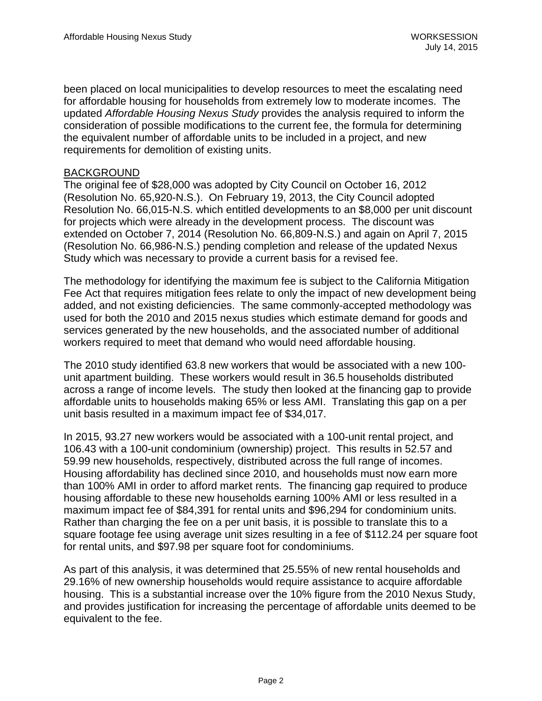been placed on local municipalities to develop resources to meet the escalating need for affordable housing for households from extremely low to moderate incomes. The updated *Affordable Housing Nexus Study* provides the analysis required to inform the consideration of possible modifications to the current fee, the formula for determining the equivalent number of affordable units to be included in a project, and new requirements for demolition of existing units.

#### **BACKGROUND**

The original fee of \$28,000 was adopted by City Council on October 16, 2012 (Resolution No. 65,920-N.S.). On February 19, 2013, the City Council adopted Resolution No. 66,015-N.S. which entitled developments to an \$8,000 per unit discount for projects which were already in the development process. The discount was extended on October 7, 2014 (Resolution No. 66,809-N.S.) and again on April 7, 2015 (Resolution No. 66,986-N.S.) pending completion and release of the updated Nexus Study which was necessary to provide a current basis for a revised fee.

The methodology for identifying the maximum fee is subject to the California Mitigation Fee Act that requires mitigation fees relate to only the impact of new development being added, and not existing deficiencies. The same commonly-accepted methodology was used for both the 2010 and 2015 nexus studies which estimate demand for goods and services generated by the new households, and the associated number of additional workers required to meet that demand who would need affordable housing.

The 2010 study identified 63.8 new workers that would be associated with a new 100 unit apartment building. These workers would result in 36.5 households distributed across a range of income levels. The study then looked at the financing gap to provide affordable units to households making 65% or less AMI. Translating this gap on a per unit basis resulted in a maximum impact fee of \$34,017.

In 2015, 93.27 new workers would be associated with a 100-unit rental project, and 106.43 with a 100-unit condominium (ownership) project. This results in 52.57 and 59.99 new households, respectively, distributed across the full range of incomes. Housing affordability has declined since 2010, and households must now earn more than 100% AMI in order to afford market rents. The financing gap required to produce housing affordable to these new households earning 100% AMI or less resulted in a maximum impact fee of \$84,391 for rental units and \$96,294 for condominium units. Rather than charging the fee on a per unit basis, it is possible to translate this to a square footage fee using average unit sizes resulting in a fee of \$112.24 per square foot for rental units, and \$97.98 per square foot for condominiums.

As part of this analysis, it was determined that 25.55% of new rental households and 29.16% of new ownership households would require assistance to acquire affordable housing. This is a substantial increase over the 10% figure from the 2010 Nexus Study, and provides justification for increasing the percentage of affordable units deemed to be equivalent to the fee.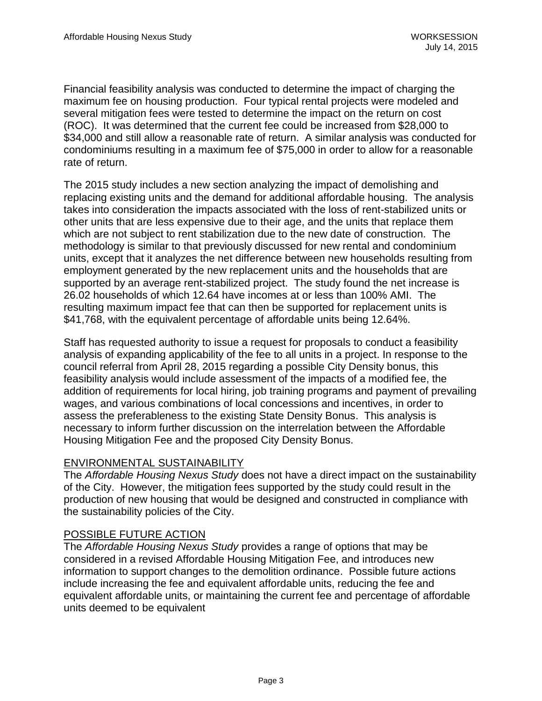Financial feasibility analysis was conducted to determine the impact of charging the maximum fee on housing production. Four typical rental projects were modeled and several mitigation fees were tested to determine the impact on the return on cost (ROC). It was determined that the current fee could be increased from \$28,000 to \$34,000 and still allow a reasonable rate of return. A similar analysis was conducted for condominiums resulting in a maximum fee of \$75,000 in order to allow for a reasonable rate of return.

The 2015 study includes a new section analyzing the impact of demolishing and replacing existing units and the demand for additional affordable housing. The analysis takes into consideration the impacts associated with the loss of rent-stabilized units or other units that are less expensive due to their age, and the units that replace them which are not subject to rent stabilization due to the new date of construction. The methodology is similar to that previously discussed for new rental and condominium units, except that it analyzes the net difference between new households resulting from employment generated by the new replacement units and the households that are supported by an average rent-stabilized project. The study found the net increase is 26.02 households of which 12.64 have incomes at or less than 100% AMI. The resulting maximum impact fee that can then be supported for replacement units is \$41,768, with the equivalent percentage of affordable units being 12.64%.

Staff has requested authority to issue a request for proposals to conduct a feasibility analysis of expanding applicability of the fee to all units in a project. In response to the council referral from April 28, 2015 regarding a possible City Density bonus, this feasibility analysis would include assessment of the impacts of a modified fee, the addition of requirements for local hiring, job training programs and payment of prevailing wages, and various combinations of local concessions and incentives, in order to assess the preferableness to the existing State Density Bonus. This analysis is necessary to inform further discussion on the interrelation between the Affordable Housing Mitigation Fee and the proposed City Density Bonus.

#### ENVIRONMENTAL SUSTAINABILITY

The *Affordable Housing Nexus Study* does not have a direct impact on the sustainability of the City. However, the mitigation fees supported by the study could result in the production of new housing that would be designed and constructed in compliance with the sustainability policies of the City.

#### POSSIBLE FUTURE ACTION

The *Affordable Housing Nexus Study* provides a range of options that may be considered in a revised Affordable Housing Mitigation Fee, and introduces new information to support changes to the demolition ordinance. Possible future actions include increasing the fee and equivalent affordable units, reducing the fee and equivalent affordable units, or maintaining the current fee and percentage of affordable units deemed to be equivalent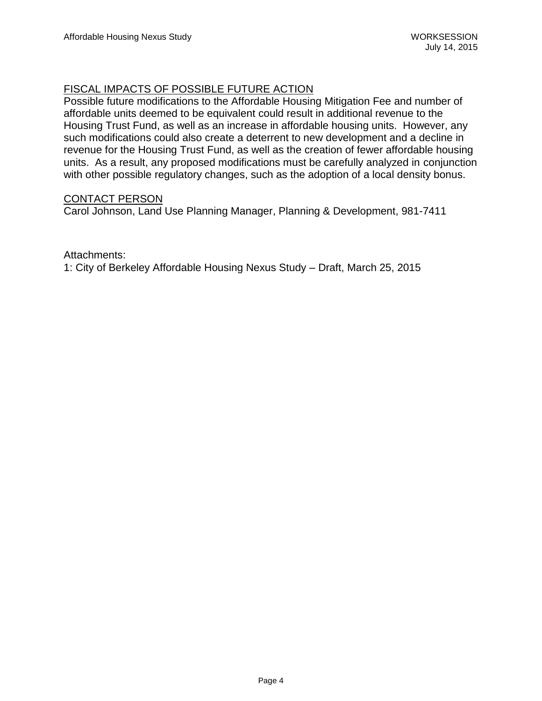#### FISCAL IMPACTS OF POSSIBLE FUTURE ACTION

Possible future modifications to the Affordable Housing Mitigation Fee and number of affordable units deemed to be equivalent could result in additional revenue to the Housing Trust Fund, as well as an increase in affordable housing units. However, any such modifications could also create a deterrent to new development and a decline in revenue for the Housing Trust Fund, as well as the creation of fewer affordable housing units. As a result, any proposed modifications must be carefully analyzed in conjunction with other possible regulatory changes, such as the adoption of a local density bonus.

#### CONTACT PERSON

Carol Johnson, Land Use Planning Manager, Planning & Development, 981-7411

Attachments: 1: City of Berkeley Affordable Housing Nexus Study – Draft, March 25, 2015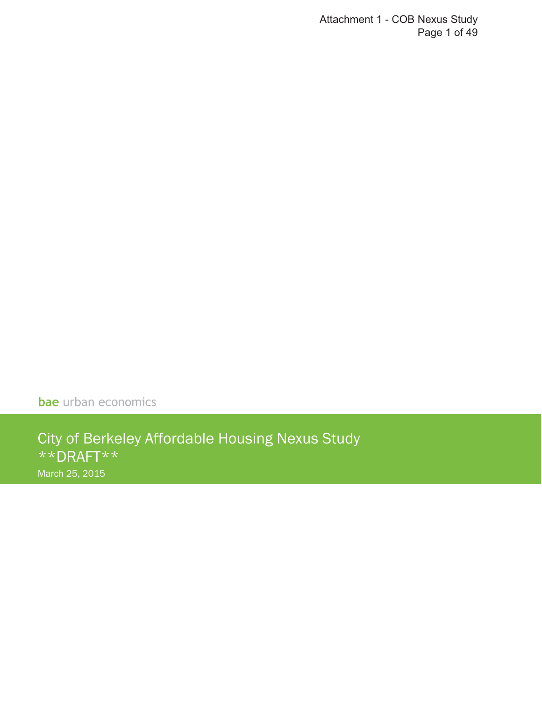Attachment 1 - COB Nexus Study Page 1 of 49

**bae** urban economics

City of Berkeley Affordable Housing Nexus Study \*\*DRAFT\*\*

March 25, 2015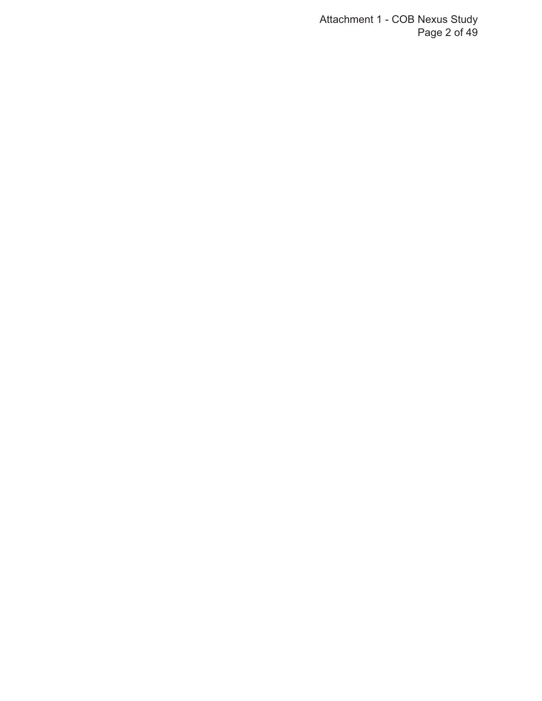Attachment 1 - COB Nexus Study Page 2 of 49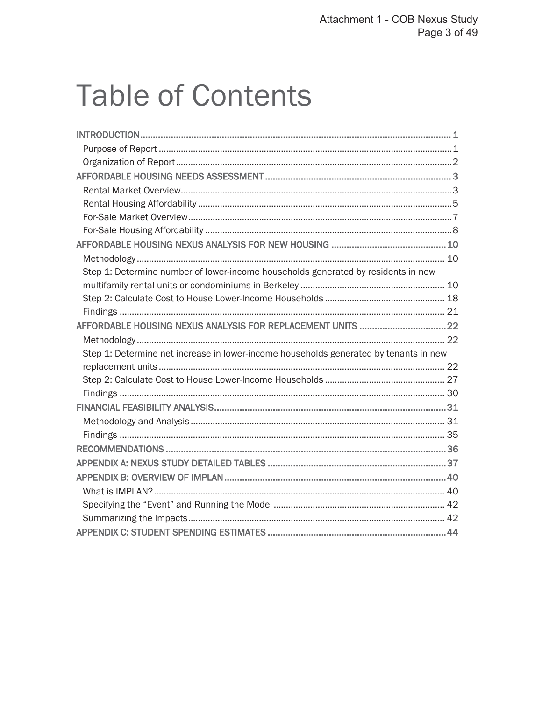# **Table of Contents**

| Step 1: Determine number of lower-income households generated by residents in new     |  |
|---------------------------------------------------------------------------------------|--|
|                                                                                       |  |
|                                                                                       |  |
|                                                                                       |  |
|                                                                                       |  |
|                                                                                       |  |
| Step 1: Determine net increase in lower-income households generated by tenants in new |  |
|                                                                                       |  |
|                                                                                       |  |
|                                                                                       |  |
|                                                                                       |  |
|                                                                                       |  |
|                                                                                       |  |
|                                                                                       |  |
|                                                                                       |  |
|                                                                                       |  |
|                                                                                       |  |
|                                                                                       |  |
|                                                                                       |  |
|                                                                                       |  |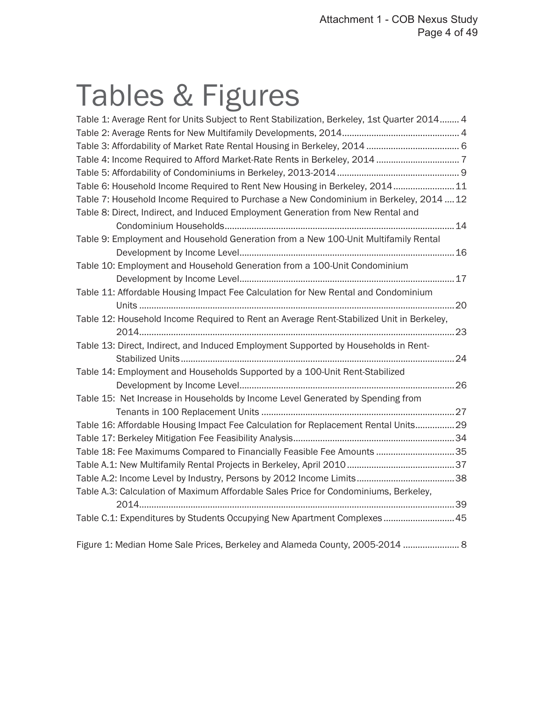# Tables & Figures

| Table 1: Average Rent for Units Subject to Rent Stabilization, Berkeley, 1st Quarter 2014 4 |  |
|---------------------------------------------------------------------------------------------|--|
|                                                                                             |  |
|                                                                                             |  |
|                                                                                             |  |
|                                                                                             |  |
| Table 6: Household Income Required to Rent New Housing in Berkeley, 2014 11                 |  |
| Table 7: Household Income Required to Purchase a New Condominium in Berkeley, 2014  12      |  |
| Table 8: Direct, Indirect, and Induced Employment Generation from New Rental and            |  |
|                                                                                             |  |
| Table 9: Employment and Household Generation from a New 100-Unit Multifamily Rental         |  |
|                                                                                             |  |
| Table 10: Employment and Household Generation from a 100-Unit Condominium                   |  |
|                                                                                             |  |
| Table 11: Affordable Housing Impact Fee Calculation for New Rental and Condominium          |  |
|                                                                                             |  |
| Table 12: Household Income Required to Rent an Average Rent-Stabilized Unit in Berkeley,    |  |
|                                                                                             |  |
| Table 13: Direct, Indirect, and Induced Employment Supported by Households in Rent-         |  |
|                                                                                             |  |
| Table 14: Employment and Households Supported by a 100-Unit Rent-Stabilized                 |  |
|                                                                                             |  |
| Table 15: Net Increase in Households by Income Level Generated by Spending from             |  |
|                                                                                             |  |
| Table 16: Affordable Housing Impact Fee Calculation for Replacement Rental Units 29         |  |
|                                                                                             |  |
| Table 18: Fee Maximums Compared to Financially Feasible Fee Amounts  35                     |  |
|                                                                                             |  |
|                                                                                             |  |
| Table A.3: Calculation of Maximum Affordable Sales Price for Condominiums, Berkeley,        |  |
|                                                                                             |  |
| Table C.1: Expenditures by Students Occupying New Apartment Complexes 45                    |  |
|                                                                                             |  |
| Figure 1: Median Home Sale Prices, Berkeley and Alameda County, 2005-2014  8                |  |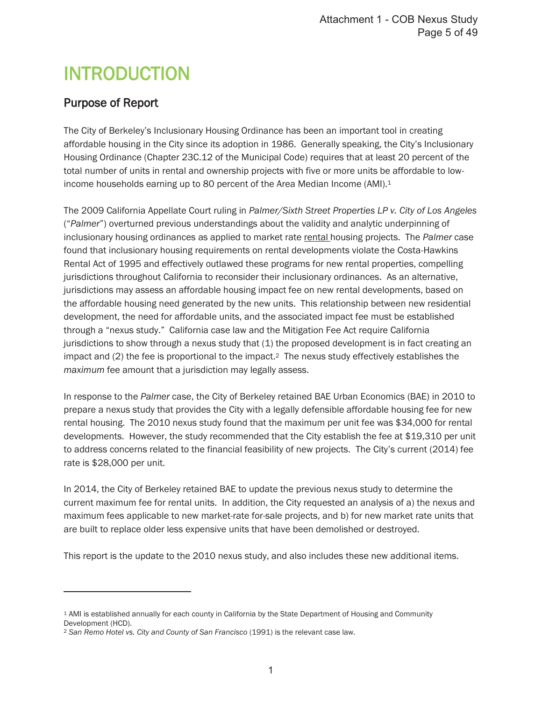# INTRODUCTION

#### Purpose of Report

 $\overline{a}$ 

The City of Berkeley's Inclusionary Housing Ordinance has been an important tool in creating affordable housing in the City since its adoption in 1986. Generally speaking, the City's Inclusionary Housing Ordinance (Chapter 23C.12 of the Municipal Code) requires that at least 20 percent of the total number of units in rental and ownership projects with five or more units be affordable to lowincome households earning up to 80 percent of the Area Median Income (AMI).1

The 2009 California Appellate Court ruling in *Palmer/Sixth Street Properties LP v. City of Los Angeles*  ("*Palmer*") overturned previous understandings about the validity and analytic underpinning of inclusionary housing ordinances as applied to market rate rental housing projects. The *Palmer* case found that inclusionary housing requirements on rental developments violate the Costa-Hawkins Rental Act of 1995 and effectively outlawed these programs for new rental properties, compelling jurisdictions throughout California to reconsider their inclusionary ordinances*.* As an alternative, jurisdictions may assess an affordable housing impact fee on new rental developments, based on the affordable housing need generated by the new units. This relationship between new residential development, the need for affordable units, and the associated impact fee must be established through a "nexus study." California case law and the Mitigation Fee Act require California jurisdictions to show through a nexus study that (1) the proposed development is in fact creating an impact and  $(2)$  the fee is proportional to the impact.<sup>2</sup> The nexus study effectively establishes the *maximum* fee amount that a jurisdiction may legally assess.

In response to the *Palmer* case, the City of Berkeley retained BAE Urban Economics (BAE) in 2010 to prepare a nexus study that provides the City with a legally defensible affordable housing fee for new rental housing. The 2010 nexus study found that the maximum per unit fee was \$34,000 for rental developments. However, the study recommended that the City establish the fee at \$19,310 per unit to address concerns related to the financial feasibility of new projects. The City's current (2014) fee rate is \$28,000 per unit.

In 2014, the City of Berkeley retained BAE to update the previous nexus study to determine the current maximum fee for rental units. In addition, the City requested an analysis of a) the nexus and maximum fees applicable to new market-rate for-sale projects, and b) for new market rate units that are built to replace older less expensive units that have been demolished or destroyed.

This report is the update to the 2010 nexus study, and also includes these new additional items.

<sup>1</sup> AMI is established annually for each county in California by the State Department of Housing and Community Development (HCD).

<sup>2</sup> *San Remo Hotel vs. City and County of San Francisco* (1991) is the relevant case law.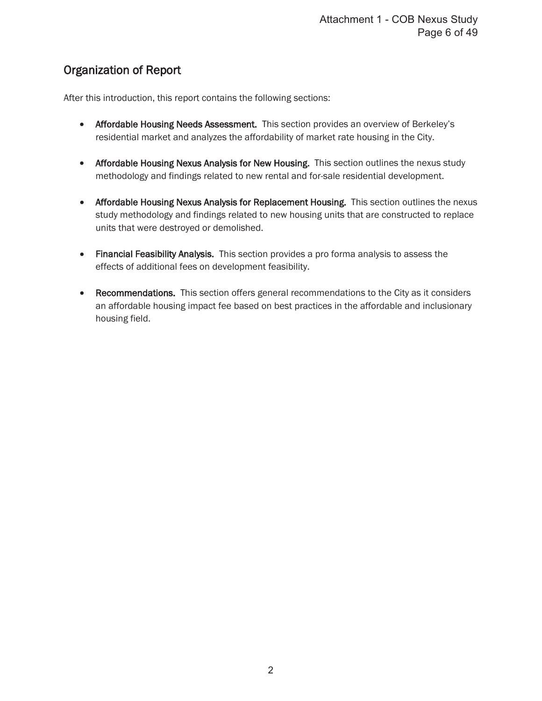#### Organization of Report

After this introduction, this report contains the following sections:

- Affordable Housing Needs Assessment. This section provides an overview of Berkeley's residential market and analyzes the affordability of market rate housing in the City.
- Affordable Housing Nexus Analysis for New Housing. This section outlines the nexus study methodology and findings related to new rental and for-sale residential development.
- Affordable Housing Nexus Analysis for Replacement Housing. This section outlines the nexus study methodology and findings related to new housing units that are constructed to replace units that were destroyed or demolished.
- Financial Feasibility Analysis. This section provides a pro forma analysis to assess the effects of additional fees on development feasibility.
- Recommendations. This section offers general recommendations to the City as it considers an affordable housing impact fee based on best practices in the affordable and inclusionary housing field.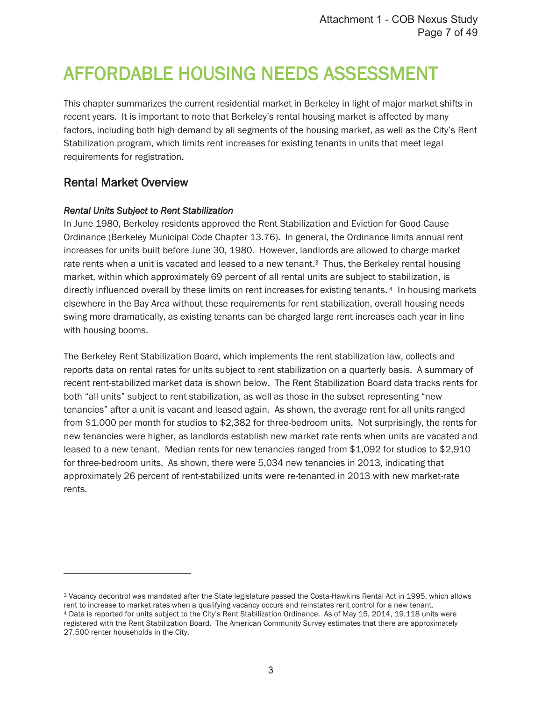# AFFORDABLE HOUSING NEEDS ASSESSMENT

This chapter summarizes the current residential market in Berkeley in light of major market shifts in recent years. It is important to note that Berkeley's rental housing market is affected by many factors, including both high demand by all segments of the housing market, as well as the City's Rent Stabilization program, which limits rent increases for existing tenants in units that meet legal requirements for registration.

#### Rental Market Overview

 $\overline{a}$ 

#### *Rental Units Subject to Rent Stabilization*

In June 1980, Berkeley residents approved the Rent Stabilization and Eviction for Good Cause Ordinance (Berkeley Municipal Code Chapter 13.76). In general, the Ordinance limits annual rent increases for units built before June 30, 1980. However, landlords are allowed to charge market rate rents when a unit is vacated and leased to a new tenant.<sup>3</sup> Thus, the Berkeley rental housing market, within which approximately 69 percent of all rental units are subject to stabilization, is directly influenced overall by these limits on rent increases for existing tenants. 4 In housing markets elsewhere in the Bay Area without these requirements for rent stabilization, overall housing needs swing more dramatically, as existing tenants can be charged large rent increases each year in line with housing booms.

The Berkeley Rent Stabilization Board, which implements the rent stabilization law, collects and reports data on rental rates for units subject to rent stabilization on a quarterly basis. A summary of recent rent-stabilized market data is shown below. The Rent Stabilization Board data tracks rents for both "all units" subject to rent stabilization, as well as those in the subset representing "new tenancies" after a unit is vacant and leased again. As shown, the average rent for all units ranged from \$1,000 per month for studios to \$2,382 for three-bedroom units. Not surprisingly, the rents for new tenancies were higher, as landlords establish new market rate rents when units are vacated and leased to a new tenant. Median rents for new tenancies ranged from \$1,092 for studios to \$2,910 for three-bedroom units. As shown, there were 5,034 new tenancies in 2013, indicating that approximately 26 percent of rent-stabilized units were re-tenanted in 2013 with new market-rate rents.

<sup>3</sup> Vacancy decontrol was mandated after the State legislature passed the Costa-Hawkins Rental Act in 1995, which allows rent to increase to market rates when a qualifying vacancy occurs and reinstates rent control for a new tenant.<br>4 Data is reported for units subject to the City's Rent Stabilization Ordinance. As of May 15, 2014, 19,118 un registered with the Rent Stabilization Board. The American Community Survey estimates that there are approximately 27,500 renter households in the City.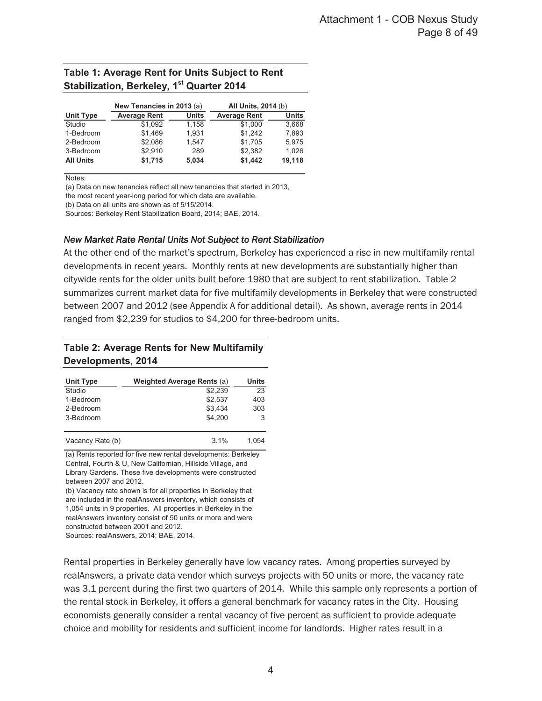#### **Table 1: Average Rent for Units Subject to Rent Stabilization, Berkeley, 1st Quarter 2014**

|                  | New Tenancies in 2013 (a) |              | All Units, 2014 (b) |              |
|------------------|---------------------------|--------------|---------------------|--------------|
| <b>Unit Type</b> | <b>Average Rent</b>       | <b>Units</b> | <b>Average Rent</b> | <b>Units</b> |
| Studio           | \$1,092                   | 1,158        | \$1,000             | 3,668        |
| 1-Bedroom        | \$1,469                   | 1,931        | \$1,242             | 7,893        |
| 2-Bedroom        | \$2,086                   | 1.547        | \$1,705             | 5,975        |
| 3-Bedroom        | \$2,910                   | 289          | \$2,382             | 1,026        |
| <b>All Units</b> | \$1,715                   | 5,034        | \$1,442             | 19,118       |

Notes:

(a) Data on new tenancies reflect all new tenancies that started in 2013,

the most recent year-long period for which data are available.

(b) Data on all units are shown as of 5/15/2014.

Sources: Berkeley Rent Stabilization Board, 2014; BAE, 2014.

#### *New Market Rate Rental Units Not Subject to Rent Stabilization*

At the other end of the market's spectrum, Berkeley has experienced a rise in new multifamily rental developments in recent years. Monthly rents at new developments are substantially higher than citywide rents for the older units built before 1980 that are subject to rent stabilization. Table 2 summarizes current market data for five multifamily developments in Berkeley that were constructed between 2007 and 2012 (see Appendix A for additional detail). As shown, average rents in 2014 ranged from \$2,239 for studios to \$4,200 for three-bedroom units.

#### **Table 2: Average Rents for New Multifamily Developments, 2014**

| Unit Type        | <b>Weighted Average Rents (a)</b> | Units |
|------------------|-----------------------------------|-------|
| Studio           | \$2.239                           | 23    |
| 1-Bedroom        | \$2.537                           | 403   |
| 2-Bedroom        | \$3.434                           | 303   |
| 3-Bedroom        | \$4.200                           | 3     |
| Vacancy Rate (b) | 3.1%                              | 1.054 |

(a) Rents reported for five new rental developments: Berkeley Central, Fourth & U, New Californian, Hillside Village, and Library Gardens. These five developments were constructed between 2007 and 2012.

(b) Vacancy rate shown is for all properties in Berkeley that are included in the realAnswers inventory, which consists of 1,054 units in 9 properties. All properties in Berkeley in the realAnswers inventory consist of 50 units or more and were constructed between 2001 and 2012.

Sources: realAnswers, 2014; BAE, 2014.

Rental properties in Berkeley generally have low vacancy rates. Among properties surveyed by realAnswers, a private data vendor which surveys projects with 50 units or more, the vacancy rate was 3.1 percent during the first two quarters of 2014. While this sample only represents a portion of the rental stock in Berkeley, it offers a general benchmark for vacancy rates in the City. Housing economists generally consider a rental vacancy of five percent as sufficient to provide adequate choice and mobility for residents and sufficient income for landlords. Higher rates result in a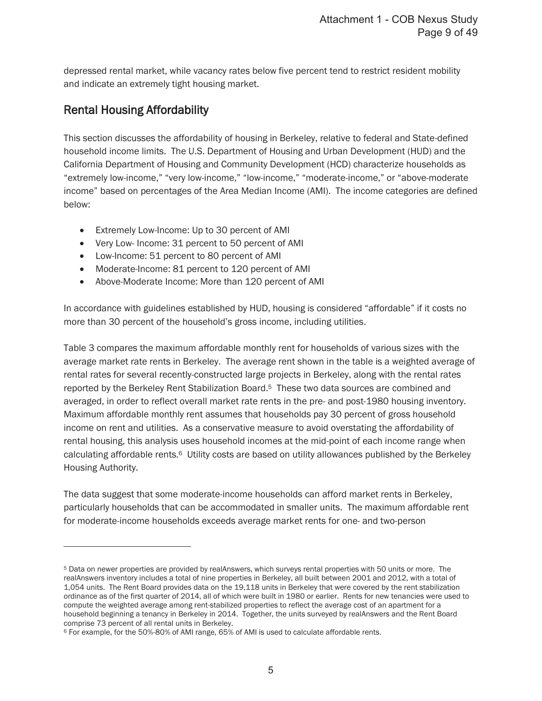depressed rental market, while vacancy rates below five percent tend to restrict resident mobility and indicate an extremely tight housing market.

#### Rental Housing Affordability

 $\overline{a}$ 

This section discusses the affordability of housing in Berkeley, relative to federal and State-defined household income limits. The U.S. Department of Housing and Urban Development (HUD) and the California Department of Housing and Community Development (HCD) characterize households as "extremely low-income," "very low-income," "low-income," "moderate-income," or "above-moderate income" based on percentages of the Area Median Income (AMI). The income categories are defined below:

- $\bullet$ Extremely Low-Income: Up to 30 percent of AMI
- Very Low- Income: 31 percent to 50 percent of AMI
- Low-Income: 51 percent to 80 percent of AMI
- Moderate-Income: 81 percent to 120 percent of AMI
- Above-Moderate Income: More than 120 percent of AMI

In accordance with guidelines established by HUD, housing is considered "affordable" if it costs no more than 30 percent of the household's gross income, including utilities.

Table 3 compares the maximum affordable monthly rent for households of various sizes with the average market rate rents in Berkeley. The average rent shown in the table is a weighted average of rental rates for several recently-constructed large projects in Berkeley, along with the rental rates reported by the Berkeley Rent Stabilization Board.5 These two data sources are combined and averaged, in order to reflect overall market rate rents in the pre- and post-1980 housing inventory. Maximum affordable monthly rent assumes that households pay 30 percent of gross household income on rent and utilities. As a conservative measure to avoid overstating the affordability of rental housing, this analysis uses household incomes at the mid-point of each income range when calculating affordable rents.6 Utility costs are based on utility allowances published by the Berkeley Housing Authority.

The data suggest that some moderate-income households can afford market rents in Berkeley, particularly households that can be accommodated in smaller units. The maximum affordable rent for moderate-income households exceeds average market rents for one- and two-person

<sup>5</sup> Data on newer properties are provided by realAnswers, which surveys rental properties with 50 units or more. The realAnswers inventory includes a total of nine properties in Berkeley, all built between 2001 and 2012, with a total of 1,054 units. The Rent Board provides data on the 19,118 units in Berkeley that were covered by the rent stabilization ordinance as of the first quarter of 2014, all of which were built in 1980 or earlier. Rents for new tenancies were used to compute the weighted average among rent-stabilized properties to reflect the average cost of an apartment for a household beginning a tenancy in Berkeley in 2014. Together, the units surveyed by realAnswers and the Rent Board comprise 73 percent of all rental units in Berkeley.

<sup>6</sup> For example, for the 50%-80% of AMI range, 65% of AMI is used to calculate affordable rents.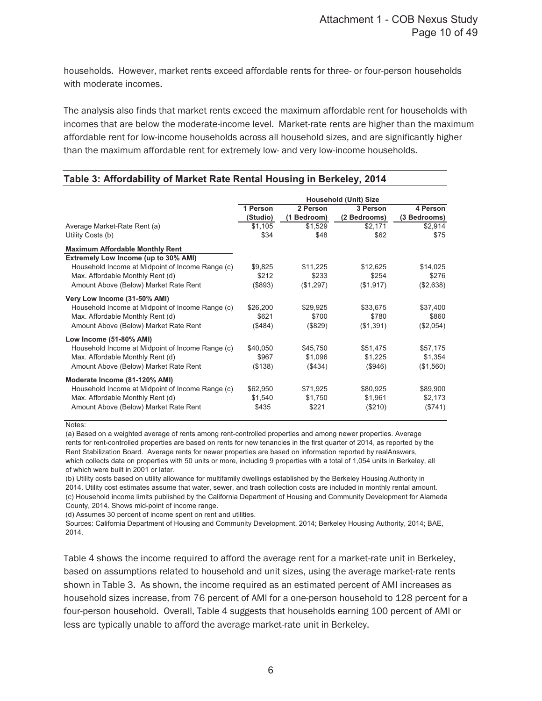households. However, market rents exceed affordable rents for three- or four-person households with moderate incomes.

The analysis also finds that market rents exceed the maximum affordable rent for households with incomes that are below the moderate-income level. Market-rate rents are higher than the maximum affordable rent for low-income households across all household sizes, and are significantly higher than the maximum affordable rent for extremely low- and very low-income households.

|                                                  |            |             | <b>Household (Unit) Size</b> |              |
|--------------------------------------------------|------------|-------------|------------------------------|--------------|
|                                                  | 1 Person   | 2 Person    | 3 Person                     | 4 Person     |
|                                                  | (Studio)   | (1 Bedroom) | (2 Bedrooms)                 | (3 Bedrooms) |
| Average Market-Rate Rent (a)                     | \$1,105    | \$1,529     | \$2,171                      | \$2,914      |
| Utility Costs (b)                                | \$34       | \$48        | \$62                         | \$75         |
| <b>Maximum Affordable Monthly Rent</b>           |            |             |                              |              |
| Extremely Low Income (up to 30% AMI)             |            |             |                              |              |
| Household Income at Midpoint of Income Range (c) | \$9,825    | \$11,225    | \$12,625                     | \$14,025     |
| Max. Affordable Monthly Rent (d)                 | \$212      | \$233       | \$254                        | \$276        |
| Amount Above (Below) Market Rate Rent            | (\$893)    | (\$1,297)   | (\$1,917)                    | (\$2,638)    |
| Very Low Income (31-50% AMI)                     |            |             |                              |              |
| Household Income at Midpoint of Income Range (c) | \$26,200   | \$29,925    | \$33,675                     | \$37,400     |
| Max. Affordable Monthly Rent (d)                 | \$621      | \$700       | \$780                        | \$860        |
| Amount Above (Below) Market Rate Rent            | (\$484)    | (\$829)     | (\$1,391)                    | (\$2,054)    |
| Low Income (51-80% AMI)                          |            |             |                              |              |
| Household Income at Midpoint of Income Range (c) | \$40,050   | \$45,750    | \$51,475                     | \$57,175     |
| Max. Affordable Monthly Rent (d)                 | \$967      | \$1,096     | \$1,225                      | \$1,354      |
| Amount Above (Below) Market Rate Rent            | $($ \$138) | (\$434)     | (\$946)                      | (\$1,560)    |
| Moderate Income (81-120% AMI)                    |            |             |                              |              |
| Household Income at Midpoint of Income Range (c) | \$62,950   | \$71,925    | \$80,925                     | \$89,900     |
| Max. Affordable Monthly Rent (d)                 | \$1,540    | \$1,750     | \$1,961                      | \$2,173      |
| Amount Above (Below) Market Rate Rent            | \$435      | \$221       | (\$210)                      | (\$741)      |

#### **Table 3: Affordability of Market Rate Rental Housing in Berkeley, 2014**

Notes:

(a) Based on a weighted average of rents among rent-controlled properties and among newer properties. Average rents for rent-controlled properties are based on rents for new tenancies in the first quarter of 2014, as reported by the Rent Stabilization Board. Average rents for newer properties are based on information reported by realAnswers, which collects data on properties with 50 units or more, including 9 properties with a total of 1,054 units in Berkeley, all of which were built in 2001 or later.

(b) Utility costs based on utility allowance for multifamily dwellings established by the Berkeley Housing Authority in 2014. Utility cost estimates assume that water, sewer, and trash collection costs are included in monthly rental amount. (c) Household income limits published by the California Department of Housing and Community Development for Alameda County, 2014. Shows mid-point of income range.

(d) Assumes 30 percent of income spent on rent and utilities.

Sources: California Department of Housing and Community Development, 2014; Berkeley Housing Authority, 2014; BAE, 2014.

Table 4 shows the income required to afford the average rent for a market-rate unit in Berkeley, based on assumptions related to household and unit sizes, using the average market-rate rents shown in Table 3. As shown, the income required as an estimated percent of AMI increases as household sizes increase, from 76 percent of AMI for a one-person household to 128 percent for a four-person household. Overall, Table 4 suggests that households earning 100 percent of AMI or less are typically unable to afford the average market-rate unit in Berkeley.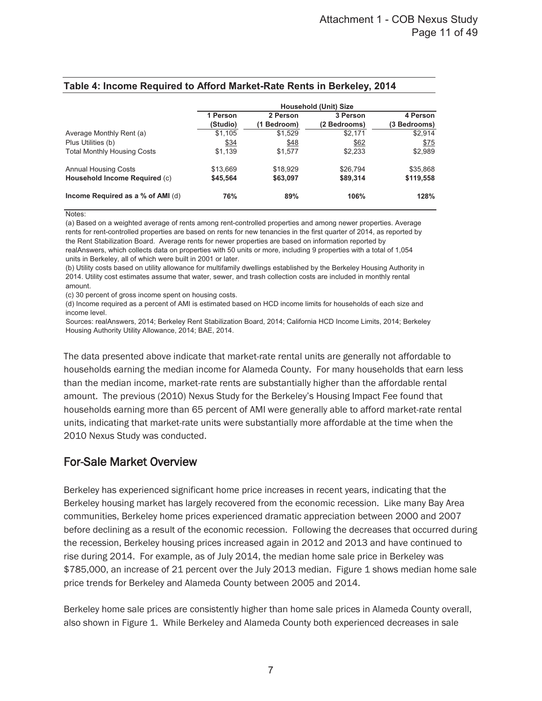|                                    |                      |                         | <b>Household (Unit) Size</b> |                          |
|------------------------------------|----------------------|-------------------------|------------------------------|--------------------------|
|                                    | 1 Person<br>(Studio) | 2 Person<br>(1 Bedroom) | 3 Person<br>(2 Bedrooms)     | 4 Person<br>(3 Bedrooms) |
| Average Monthly Rent (a)           | \$1,105              | \$1.529                 | \$2,171                      | \$2,914                  |
| Plus Utilities (b)                 | \$34                 | \$48                    | \$62                         | \$75                     |
| <b>Total Monthly Housing Costs</b> | \$1,139              | \$1.577                 | \$2,233                      | \$2,989                  |
| <b>Annual Housing Costs</b>        | \$13.669             | \$18,929                | \$26,794                     | \$35,868                 |
| Household Income Required (c)      | \$45,564             | \$63,097                | \$89,314                     | \$119,558                |
| Income Required as a % of AMI (d)  | 76%                  | 89%                     | 106%                         | 128%                     |

#### **Table 4: Income Required to Afford Market-Rate Rents in Berkeley, 2014**

Notes:

(a) Based on a weighted average of rents among rent-controlled properties and among newer properties. Average rents for rent-controlled properties are based on rents for new tenancies in the first quarter of 2014, as reported by the Rent Stabilization Board. Average rents for newer properties are based on information reported by realAnswers, which collects data on properties with 50 units or more, including 9 properties with a total of 1,054 units in Berkeley, all of which were built in 2001 or later.

(b) Utility costs based on utility allowance for multifamily dwellings established by the Berkeley Housing Authority in 2014. Utility cost estimates assume that water, sewer, and trash collection costs are included in monthly rental amount.

(c) 30 percent of gross income spent on housing costs.

(d) Income required as a percent of AMI is estimated based on HCD income limits for households of each size and income level.

Sources: realAnswers, 2014; Berkeley Rent Stabilization Board, 2014; California HCD Income Limits, 2014; Berkeley Housing Authority Utility Allowance, 2014; BAE, 2014.

The data presented above indicate that market-rate rental units are generally not affordable to households earning the median income for Alameda County. For many households that earn less than the median income, market-rate rents are substantially higher than the affordable rental amount. The previous (2010) Nexus Study for the Berkeley's Housing Impact Fee found that households earning more than 65 percent of AMI were generally able to afford market-rate rental units, indicating that market-rate units were substantially more affordable at the time when the 2010 Nexus Study was conducted.

#### For-Sale Market Overview

Berkeley has experienced significant home price increases in recent years, indicating that the Berkeley housing market has largely recovered from the economic recession. Like many Bay Area communities, Berkeley home prices experienced dramatic appreciation between 2000 and 2007 before declining as a result of the economic recession. Following the decreases that occurred during the recession, Berkeley housing prices increased again in 2012 and 2013 and have continued to rise during 2014. For example, as of July 2014, the median home sale price in Berkeley was \$785,000, an increase of 21 percent over the July 2013 median. Figure 1 shows median home sale price trends for Berkeley and Alameda County between 2005 and 2014.

Berkeley home sale prices are consistently higher than home sale prices in Alameda County overall, also shown in Figure 1. While Berkeley and Alameda County both experienced decreases in sale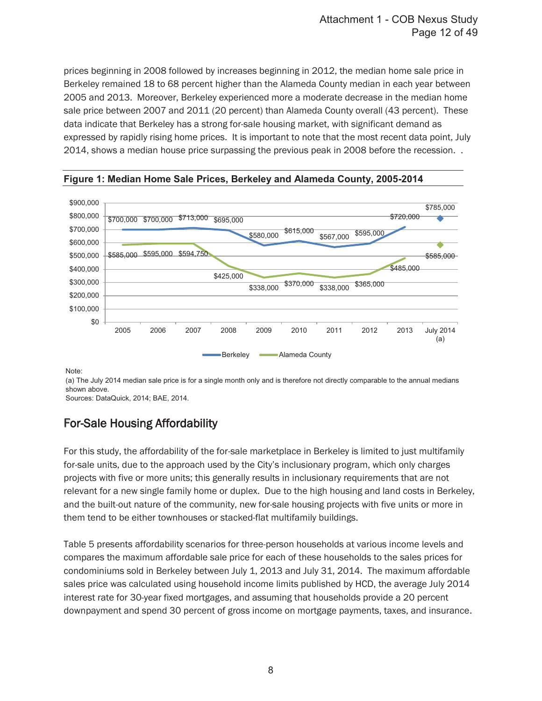prices beginning in 2008 followed by increases beginning in 2012, the median home sale price in Berkeley remained 18 to 68 percent higher than the Alameda County median in each year between 2005 and 2013. Moreover, Berkeley experienced more a moderate decrease in the median home sale price between 2007 and 2011 (20 percent) than Alameda County overall (43 percent). These data indicate that Berkeley has a strong for-sale housing market, with significant demand as expressed by rapidly rising home prices. It is important to note that the most recent data point, July 2014, shows a median house price surpassing the previous peak in 2008 before the recession. .



**Figure 1: Median Home Sale Prices, Berkeley and Alameda County, 2005-2014**

Note:

(a) The July 2014 median sale price is for a single month only and is therefore not directly comparable to the annual medians shown above.

Sources: DataQuick, 2014; BAE, 2014.

#### For-Sale Housing Affordability

For this study, the affordability of the for-sale marketplace in Berkeley is limited to just multifamily for-sale units, due to the approach used by the City's inclusionary program, which only charges projects with five or more units; this generally results in inclusionary requirements that are not relevant for a new single family home or duplex. Due to the high housing and land costs in Berkeley, and the built-out nature of the community, new for-sale housing projects with five units or more in them tend to be either townhouses or stacked-flat multifamily buildings.

Table 5 presents affordability scenarios for three-person households at various income levels and compares the maximum affordable sale price for each of these households to the sales prices for condominiums sold in Berkeley between July 1, 2013 and July 31, 2014. The maximum affordable sales price was calculated using household income limits published by HCD, the average July 2014 interest rate for 30-year fixed mortgages, and assuming that households provide a 20 percent downpayment and spend 30 percent of gross income on mortgage payments, taxes, and insurance.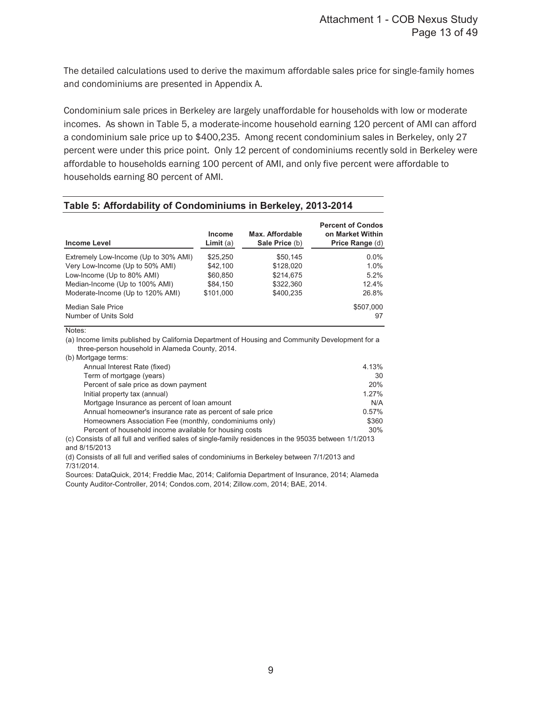The detailed calculations used to derive the maximum affordable sales price for single-family homes and condominiums are presented in Appendix A.

Condominium sale prices in Berkeley are largely unaffordable for households with low or moderate incomes. As shown in Table 5, a moderate-income household earning 120 percent of AMI can afford a condominium sale price up to \$400,235. Among recent condominium sales in Berkeley, only 27 percent were under this price point. Only 12 percent of condominiums recently sold in Berkeley were affordable to households earning 100 percent of AMI, and only five percent were affordable to households earning 80 percent of AMI.

| <b>Income Level</b>                       | Income<br>Limit $(a)$ | Max. Affordable<br>Sale Price (b) | <b>Percent of Condos</b><br>on Market Within<br>Price Range (d) |
|-------------------------------------------|-----------------------|-----------------------------------|-----------------------------------------------------------------|
| Extremely Low-Income (Up to 30% AMI)      | \$25,250              | \$50.145                          | $0.0\%$                                                         |
| Very Low-Income (Up to 50% AMI)           | \$42,100              | \$128,020                         | 1.0%                                                            |
| Low-Income (Up to 80% AMI)                | \$60,850              | \$214,675                         | 5.2%                                                            |
| Median-Income (Up to 100% AMI)            | \$84,150              | \$322.360                         | 12.4%                                                           |
| Moderate-Income (Up to 120% AMI)          | \$101,000             | \$400.235                         | 26.8%                                                           |
| Median Sale Price<br>Number of Units Sold |                       |                                   | \$507,000<br>97                                                 |

#### **Table 5: Affordability of Condominiums in Berkeley, 2013-2014**

Notes:

(a) Income limits published by California Department of Housing and Community Development for a three-person household in Alameda County, 2014.

(b) Mortgage terms:

| Annual Interest Rate (fixed)                               | 4.13% |
|------------------------------------------------------------|-------|
| Term of mortgage (years)                                   | 30    |
| Percent of sale price as down payment                      | 20%   |
| Initial property tax (annual)                              | 1.27% |
| Mortgage Insurance as percent of loan amount               | N/A   |
| Annual homeowner's insurance rate as percent of sale price | 0.57% |
| Homeowners Association Fee (monthly, condominiums only)    | \$360 |
| Percent of household income available for housing costs    | 30%   |
|                                                            |       |

(c) Consists of all full and verified sales of single-family residences in the 95035 between 1/1/2013 and 8/15/2013

(d) Consists of all full and verified sales of condominiums in Berkeley between 7/1/2013 and 7/31/2014.

Sources: DataQuick, 2014; Freddie Mac, 2014; California Department of Insurance, 2014; Alameda County Auditor-Controller, 2014; Condos.com, 2014; Zillow.com, 2014; BAE, 2014.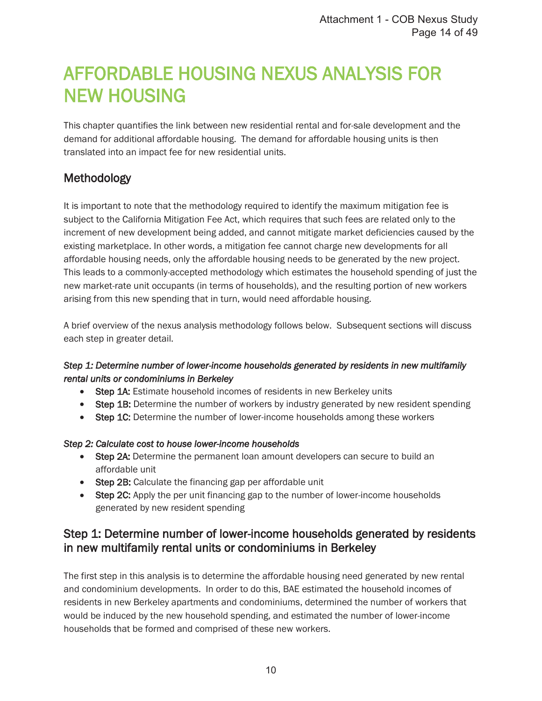## AFFORDABLE HOUSING NEXUS ANALYSIS FOR NEW HOUSING

This chapter quantifies the link between new residential rental and for-sale development and the demand for additional affordable housing. The demand for affordable housing units is then translated into an impact fee for new residential units.

#### Methodology

It is important to note that the methodology required to identify the maximum mitigation fee is subject to the California Mitigation Fee Act, which requires that such fees are related only to the increment of new development being added, and cannot mitigate market deficiencies caused by the existing marketplace. In other words, a mitigation fee cannot charge new developments for all affordable housing needs, only the affordable housing needs to be generated by the new project. This leads to a commonly-accepted methodology which estimates the household spending of just the new market-rate unit occupants (in terms of households), and the resulting portion of new workers arising from this new spending that in turn, would need affordable housing.

A brief overview of the nexus analysis methodology follows below. Subsequent sections will discuss each step in greater detail.

#### *Step 1: Determine number of lower-income households generated by residents in new multifamily rental units or condominiums in Berkeley*

- Step 1A: Estimate household incomes of residents in new Berkeley units
- Step 1B: Determine the number of workers by industry generated by new resident spending
- Step 1C: Determine the number of lower-income households among these workers

#### *Step 2: Calculate cost to house lower-income households*

- Step 2A: Determine the permanent loan amount developers can secure to build an affordable unit
- Step 2B: Calculate the financing gap per affordable unit
- Step 2C: Apply the per unit financing gap to the number of lower-income households generated by new resident spending

#### Step 1: Determine number of lower-income households generated by residents in new multifamily rental units or condominiums in Berkeley

The first step in this analysis is to determine the affordable housing need generated by new rental and condominium developments. In order to do this, BAE estimated the household incomes of residents in new Berkeley apartments and condominiums, determined the number of workers that would be induced by the new household spending, and estimated the number of lower-income households that be formed and comprised of these new workers.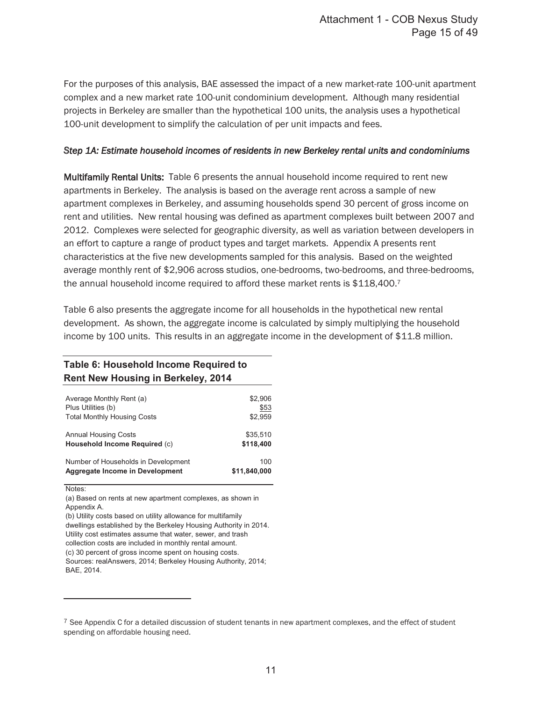For the purposes of this analysis, BAE assessed the impact of a new market-rate 100-unit apartment complex and a new market rate 100-unit condominium development. Although many residential projects in Berkeley are smaller than the hypothetical 100 units, the analysis uses a hypothetical 100-unit development to simplify the calculation of per unit impacts and fees.

#### *Step 1A: Estimate household incomes of residents in new Berkeley rental units and condominiums*

Multifamily Rental Units: Table 6 presents the annual household income required to rent new apartments in Berkeley. The analysis is based on the average rent across a sample of new apartment complexes in Berkeley, and assuming households spend 30 percent of gross income on rent and utilities. New rental housing was defined as apartment complexes built between 2007 and 2012. Complexes were selected for geographic diversity, as well as variation between developers in an effort to capture a range of product types and target markets. Appendix A presents rent characteristics at the five new developments sampled for this analysis. Based on the weighted average monthly rent of \$2,906 across studios, one-bedrooms, two-bedrooms, and three-bedrooms, the annual household income required to afford these market rents is \$118,400.7

Table 6 also presents the aggregate income for all households in the hypothetical new rental development. As shown, the aggregate income is calculated by simply multiplying the household income by 100 units. This results in an aggregate income in the development of \$11.8 million.

#### **Table 6: Household Income Required to Rent New Housing in Berkeley, 2014**

| Average Monthly Rent (a)            | \$2,906      |
|-------------------------------------|--------------|
| Plus Utilities (b)                  | \$53         |
| <b>Total Monthly Housing Costs</b>  | \$2.959      |
| <b>Annual Housing Costs</b>         | \$35.510     |
| Household Income Required (c)       | \$118,400    |
| Number of Households in Development | 100          |
| Aggregate Income in Development     | \$11.840.000 |

Notes:

 $\overline{a}$ 

(a) Based on rents at new apartment complexes, as shown in Appendix A.

(b) Utility costs based on utility allowance for multifamily dwellings established by the Berkeley Housing Authority in 2014. Utility cost estimates assume that water, sewer, and trash collection costs are included in monthly rental amount. (c) 30 percent of gross income spent on housing costs. Sources: realAnswers, 2014; Berkeley Housing Authority, 2014; BAE, 2014.

 $7$  See Appendix C for a detailed discussion of student tenants in new apartment complexes, and the effect of student spending on affordable housing need.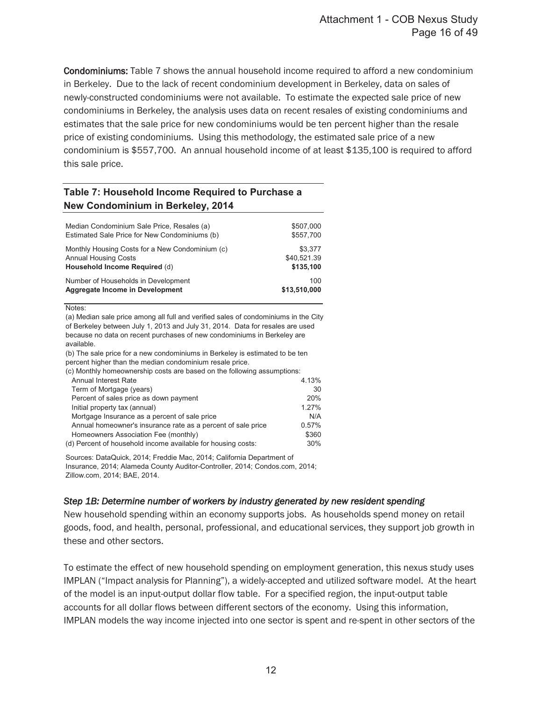Condominiums: Table 7 shows the annual household income required to afford a new condominium in Berkeley. Due to the lack of recent condominium development in Berkeley, data on sales of newly-constructed condominiums were not available. To estimate the expected sale price of new condominiums in Berkeley, the analysis uses data on recent resales of existing condominiums and estimates that the sale price for new condominiums would be ten percent higher than the resale price of existing condominiums. Using this methodology, the estimated sale price of a new condominium is \$557,700. An annual household income of at least \$135,100 is required to afford this sale price.

#### **Table 7: Household Income Required to Purchase a New Condominium in Berkeley, 2014**

| Median Condominium Sale Price, Resales (a)      | \$507,000    |
|-------------------------------------------------|--------------|
| Estimated Sale Price for New Condominiums (b)   | \$557,700    |
| Monthly Housing Costs for a New Condominium (c) | \$3,377      |
| <b>Annual Housing Costs</b>                     | \$40.521.39  |
| Household Income Required (d)                   | \$135,100    |
| Number of Households in Development             | 100          |
| Aggregate Income in Development                 | \$13.510.000 |

#### Notes:

(a) Median sale price among all full and verified sales of condominiums in the City of Berkeley between July 1, 2013 and July 31, 2014. Data for resales are used because no data on recent purchases of new condominiums in Berkeley are available.

(b) The sale price for a new condominiums in Berkeley is estimated to be ten percent higher than the median condominium resale price.

| (c) Monthly homeownership costs are based on the following assumptions: |       |
|-------------------------------------------------------------------------|-------|
| <b>Annual Interest Rate</b>                                             | 4.13% |
| Term of Mortgage (years)                                                | 30    |
| Percent of sales price as down payment                                  | 20%   |
| Initial property tax (annual)                                           | 1.27% |
| Mortgage Insurance as a percent of sale price                           | N/A   |
| Annual homeowner's insurance rate as a percent of sale price            | 0.57% |
| Homeowners Association Fee (monthly)                                    | \$360 |
| (d) Percent of household income available for housing costs:            | 30%   |

Sources: DataQuick, 2014; Freddie Mac, 2014; California Department of Insurance, 2014; Alameda County Auditor-Controller, 2014; Condos.com, 2014; Zillow.com, 2014; BAE, 2014.

#### *Step 1B: Determine number of workers by industry generated by new resident spending*

New household spending within an economy supports jobs. As households spend money on retail goods, food, and health, personal, professional, and educational services, they support job growth in these and other sectors.

To estimate the effect of new household spending on employment generation, this nexus study uses IMPLAN ("Impact analysis for Planning"), a widely-accepted and utilized software model. At the heart of the model is an input-output dollar flow table. For a specified region, the input-output table accounts for all dollar flows between different sectors of the economy. Using this information, IMPLAN models the way income injected into one sector is spent and re-spent in other sectors of the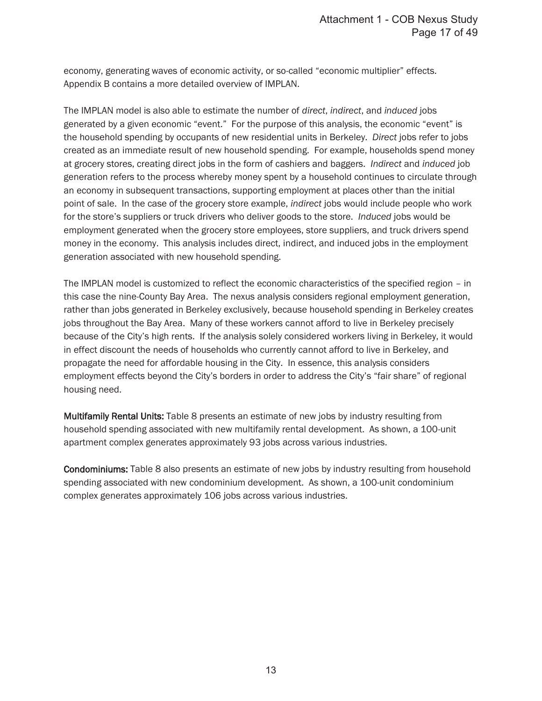economy, generating waves of economic activity, or so-called "economic multiplier" effects. Appendix B contains a more detailed overview of IMPLAN.

The IMPLAN model is also able to estimate the number of *direct*, *indirect*, and *induced* jobs generated by a given economic "event." For the purpose of this analysis, the economic "event" is the household spending by occupants of new residential units in Berkeley. *Direct* jobs refer to jobs created as an immediate result of new household spending. For example, households spend money at grocery stores, creating direct jobs in the form of cashiers and baggers. *Indirect* and *induced* job generation refers to the process whereby money spent by a household continues to circulate through an economy in subsequent transactions, supporting employment at places other than the initial point of sale. In the case of the grocery store example, *indirect* jobs would include people who work for the store's suppliers or truck drivers who deliver goods to the store. *Induced* jobs would be employment generated when the grocery store employees, store suppliers, and truck drivers spend money in the economy. This analysis includes direct, indirect, and induced jobs in the employment generation associated with new household spending.

The IMPLAN model is customized to reflect the economic characteristics of the specified region – in this case the nine-County Bay Area. The nexus analysis considers regional employment generation, rather than jobs generated in Berkeley exclusively, because household spending in Berkeley creates jobs throughout the Bay Area. Many of these workers cannot afford to live in Berkeley precisely because of the City's high rents. If the analysis solely considered workers living in Berkeley, it would in effect discount the needs of households who currently cannot afford to live in Berkeley, and propagate the need for affordable housing in the City. In essence, this analysis considers employment effects beyond the City's borders in order to address the City's "fair share" of regional housing need.

Multifamily Rental Units: Table 8 presents an estimate of new jobs by industry resulting from household spending associated with new multifamily rental development. As shown, a 100-unit apartment complex generates approximately 93 jobs across various industries.

Condominiums: Table 8 also presents an estimate of new jobs by industry resulting from household spending associated with new condominium development. As shown, a 100-unit condominium complex generates approximately 106 jobs across various industries.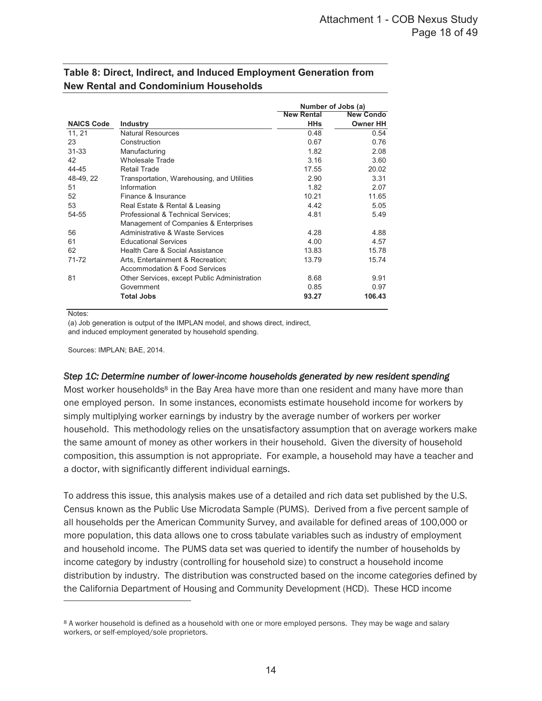|                   |                                              | Number of Jobs (a) |                 |
|-------------------|----------------------------------------------|--------------------|-----------------|
|                   |                                              | <b>New Rental</b>  | New Condo       |
| <b>NAICS Code</b> | <b>Industry</b>                              | <b>HHs</b>         | <b>Owner HH</b> |
| 11, 21            | <b>Natural Resources</b>                     | 0.48               | 0.54            |
| 23                | Construction                                 | 0.67               | 0.76            |
| $31 - 33$         | Manufacturing                                | 1.82               | 2.08            |
| 42                | <b>Wholesale Trade</b>                       | 3.16               | 3.60            |
| 44-45             | <b>Retail Trade</b>                          | 17.55              | 20.02           |
| 48-49, 22         | Transportation, Warehousing, and Utilities   | 2.90               | 3.31            |
| 51                | Information                                  | 1.82               | 2.07            |
| 52                | Finance & Insurance                          | 10.21              | 11.65           |
| 53                | Real Estate & Rental & Leasing               | 4.42               | 5.05            |
| 54-55             | Professional & Technical Services:           | 4.81               | 5.49            |
|                   | Management of Companies & Enterprises        |                    |                 |
| 56                | Administrative & Waste Services              | 4.28               | 4.88            |
| 61                | <b>Educational Services</b>                  | 4.00               | 4.57            |
| 62                | Health Care & Social Assistance              | 13.83              | 15.78           |
| 71-72             | Arts, Entertainment & Recreation;            | 13.79              | 15.74           |
|                   | Accommodation & Food Services                |                    |                 |
| 81                | Other Services, except Public Administration | 8.68               | 9.91            |
|                   | Government                                   | 0.85               | 0.97            |
|                   | <b>Total Jobs</b>                            | 93.27              | 106.43          |

#### **Table 8: Direct, Indirect, and Induced Employment Generation from New Rental and Condominium Households**

Notes:

 $\overline{a}$ 

(a) Job generation is output of the IMPLAN model, and shows direct, indirect, and induced employment generated by household spending.

Sources: IMPLAN; BAE, 2014.

#### *Step 1C: Determine number of lower-income households generated by new resident spending*

Most worker households<sup>8</sup> in the Bay Area have more than one resident and many have more than one employed person. In some instances, economists estimate household income for workers by simply multiplying worker earnings by industry by the average number of workers per worker household. This methodology relies on the unsatisfactory assumption that on average workers make the same amount of money as other workers in their household. Given the diversity of household composition, this assumption is not appropriate. For example, a household may have a teacher and a doctor, with significantly different individual earnings.

To address this issue, this analysis makes use of a detailed and rich data set published by the U.S. Census known as the Public Use Microdata Sample (PUMS). Derived from a five percent sample of all households per the American Community Survey, and available for defined areas of 100,000 or more population, this data allows one to cross tabulate variables such as industry of employment and household income. The PUMS data set was queried to identify the number of households by income category by industry (controlling for household size) to construct a household income distribution by industry. The distribution was constructed based on the income categories defined by the California Department of Housing and Community Development (HCD). These HCD income

<sup>8</sup> A worker household is defined as a household with one or more employed persons. They may be wage and salary workers, or self-employed/sole proprietors.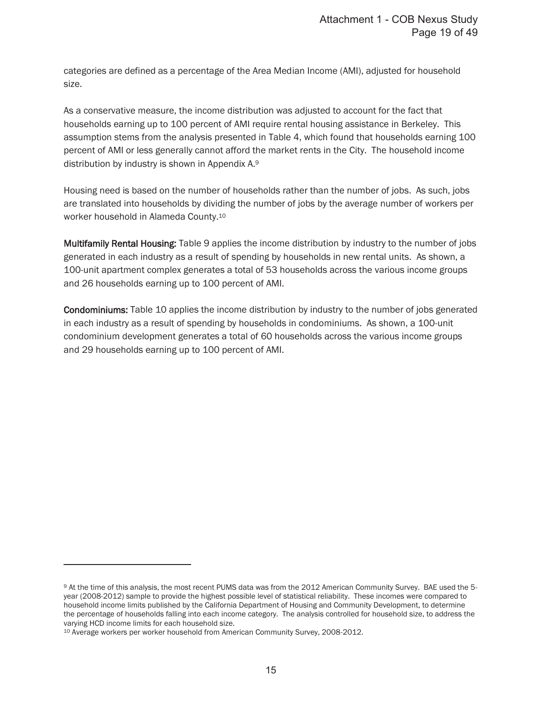categories are defined as a percentage of the Area Median Income (AMI), adjusted for household size.

As a conservative measure, the income distribution was adjusted to account for the fact that households earning up to 100 percent of AMI require rental housing assistance in Berkeley. This assumption stems from the analysis presented in Table 4, which found that households earning 100 percent of AMI or less generally cannot afford the market rents in the City. The household income distribution by industry is shown in Appendix A.9

Housing need is based on the number of households rather than the number of jobs. As such, jobs are translated into households by dividing the number of jobs by the average number of workers per worker household in Alameda County.10

Multifamily Rental Housing: Table 9 applies the income distribution by industry to the number of jobs generated in each industry as a result of spending by households in new rental units. As shown, a 100-unit apartment complex generates a total of 53 households across the various income groups and 26 households earning up to 100 percent of AMI.

**Condominiums:** Table 10 applies the income distribution by industry to the number of jobs generated in each industry as a result of spending by households in condominiums. As shown, a 100-unit condominium development generates a total of 60 households across the various income groups and 29 households earning up to 100 percent of AMI.

 $\overline{a}$ 

<sup>9</sup> At the time of this analysis, the most recent PUMS data was from the 2012 American Community Survey. BAE used the 5 year (2008-2012) sample to provide the highest possible level of statistical reliability. These incomes were compared to household income limits published by the California Department of Housing and Community Development, to determine the percentage of households falling into each income category. The analysis controlled for household size, to address the varying HCD income limits for each household size.

<sup>10</sup> Average workers per worker household from American Community Survey, 2008-2012.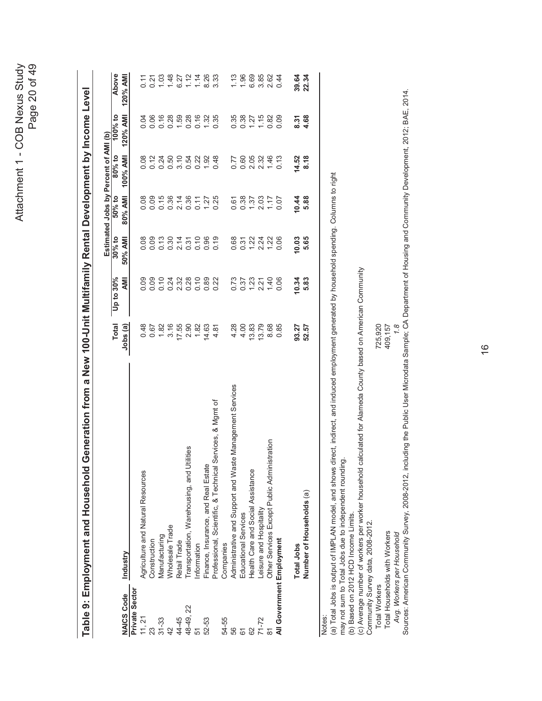# Attachment 1 - COB Nexus Study Page 20 of 49 Attachment 1 - COB Nexus Study Page 20 of 49

|                       | Generation from a New 100-Unit Multifamily Rental Development by Income Level<br>Table 9: Employment and Household |                          |                         |                   |      |                                                             |      |       |
|-----------------------|--------------------------------------------------------------------------------------------------------------------|--------------------------|-------------------------|-------------------|------|-------------------------------------------------------------|------|-------|
|                       |                                                                                                                    |                          |                         |                   |      | Estimated Jobs by Percent of AMI (b)                        |      |       |
| <b>JAICS Code</b>     | Industry                                                                                                           | <b>Total</b><br>Jobs (a) | <b>AMI</b><br>Up to 30% | 50% AMI<br>30% to |      | 80% AMI 100% AMI 120% AMI 120% AMI<br>50% to 80% to 100% to |      | Above |
| <b>Private Sector</b> |                                                                                                                    |                          |                         |                   |      |                                                             |      |       |
| 11, 21                | Agriculture and Natural Resources                                                                                  | 0.48                     | 0.09                    | 0.08              | 0.08 | 0.08                                                        | 0.04 | 0.11  |
|                       | Construction                                                                                                       | 0.67                     | 0.09                    | 0.09              | 0.09 | 0.12                                                        |      | 0.21  |
| $31 - 33$             | <b>Manufacturing</b>                                                                                               | 1.82                     | 0.10                    | 0.13              | 0.15 | 0.24                                                        | 0.16 | 1.03  |
|                       | <b>Vholesale Trade</b>                                                                                             | 3.16                     | 0.24                    | 0.30              | 0.36 | 0.50                                                        | 0.28 | 1.48  |
|                       |                                                                                                                    |                          |                         |                   |      |                                                             |      |       |

| <b>Private Sector</b> |                                                           |                                          |                                      |                                             |                |
|-----------------------|-----------------------------------------------------------|------------------------------------------|--------------------------------------|---------------------------------------------|----------------|
| 11, 21                | Agriculture and Natural Resources                         |                                          |                                      |                                             |                |
| 23                    | Construction                                              |                                          |                                      |                                             |                |
| 31-33<br>42           | Manufacturing                                             |                                          |                                      |                                             |                |
|                       | Wholesale Trade                                           |                                          |                                      |                                             |                |
| 44-45                 | Retail Trade                                              |                                          |                                      |                                             |                |
| 48-49, 22             | Transportation, Warehousing, and                          |                                          |                                      |                                             |                |
|                       | Information                                               |                                          |                                      |                                             |                |
| 52-53                 | Finance, Insurance, and Real Estate                       |                                          |                                      |                                             |                |
|                       | Professional, Scientific, & Technical Services, & Mgmt of |                                          |                                      |                                             |                |
| 54-55                 | Companies                                                 |                                          |                                      |                                             |                |
| 56                    | Administrative and Support and Waste Management Services  |                                          |                                      |                                             |                |
|                       | Educational Services                                      |                                          |                                      |                                             |                |
| 62                    | Health Care and Social Assistance                         |                                          |                                      |                                             |                |
| $71 - 72$             | Leisure and Hospitality                                   |                                          |                                      |                                             |                |
|                       | nistration<br>Other Services Except Public Admi           |                                          |                                      |                                             |                |
|                       | All Government Employment                                 | 8804380883 8535486<br>88054380683 853546 | 898245089 853438<br>886585565 863338 | ococococo cococo da<br>Sococococo cococo da |                |
|                       | <b>Total Jobs</b>                                         | $0.34$<br>5.83                           | $0.03$<br>5.65                       |                                             |                |
|                       | Number of Households (a)                                  |                                          |                                      |                                             | 39.64<br>22.34 |

Notes:<br>(a) Total Jobs is output of IMPLAN model, and shows direct, indirect, and induced employment generated by household spending. Columns to right<br>may not sum to Total Jobs due to independent rounding.<br>(b) Based on 2012 (a) Total Jobs is output of IMPLAN model, and shows direct, indirect, and induced employment generated by household spending. Columns to right

may not sum to Total Jobs due to independent rounding.

(b) Based on 2012 HCD Income Limits.

(c) Average number of workers per worker household calculated for Alameda County based on American Community<br>Community Survey data, 2008-2012. (c) Average number of workers per worker household calculated for Alameda County based on American Community

Total Workers 725,920 Community Survey data, 2008-2012. Total Households with Workers **Total Workers** 

725,920<br>409,157  $1.8$ Total Households with Workers 409,157

Sources: American Community Survey, 2008-2012, including the Public User Microdata Sample; CA Department of Housing and Community Development, 2012; BAE, 2014. Sources: American Community Survey, 2008-2012, including the Public User Microdata Sample; CA Department of Housing and Community Development, 2012; BAE, 2014. *Avg. Workers per Household 1.8* Avg. Workers per Household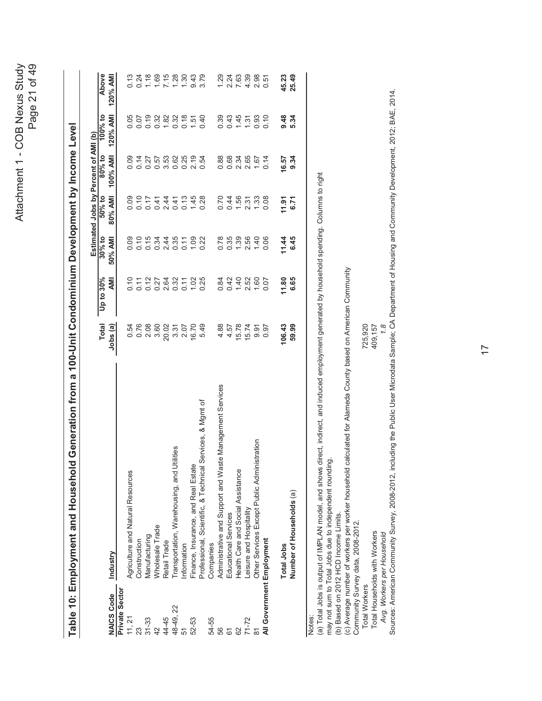# Attachment 1 - COB Nexus Study Attachment 1 - COB Nexus Study<br>Page 21 of 49 Page 21 of 49

# **Table 10: Employment and Household Generation from a 100-Unit Condominium Development by Income Level**  Table 10: Employment and Household Generation from a 100-Unit Condominium Development by Income Level

|                           |                                                              |                      |                     |           |           | Estimated Jobs by Percent of AMI (b)  |                  |                         |
|---------------------------|--------------------------------------------------------------|----------------------|---------------------|-----------|-----------|---------------------------------------|------------------|-------------------------|
|                           |                                                              | <b>Total</b>         | Up to $30\%$        | $30\%$ to | $50\%$ to | $80%$ to                              | $100\%$ to       | Above                   |
| <b>NAICS Code</b>         | Industry                                                     | Jobs (a)             | ξ                   | 50% AMI   | 80% AMI   | 100% AMI                              | 120% AMI         | 120% AMI                |
| Private Sector            |                                                              |                      |                     |           |           |                                       |                  |                         |
|                           | Agriculture and Natural Resources                            |                      | 0.10                | 0.09      | 0.09      | 0.09                                  | 0.05             | 2.13                    |
| $11, 21$<br>23            | Construction                                                 |                      | 0.11                | 0.10      | 0.10      |                                       | 0.07             |                         |
| $31 - 33$                 | Manufacturing                                                | 5.78<br>0.78<br>0.28 |                     | 0.15      | 7.17      |                                       |                  | $0.24$<br>1.18          |
| 42                        | Wholesale Trade                                              | 3.60                 |                     | 0.34      | 0.41      |                                       | $0.19$<br>$0.32$ |                         |
| 44-45<br>48-49, 22        | Retail Trade                                                 | 20.02                |                     | 2.44      | 2.44      |                                       | 1.82             |                         |
|                           | Transportation, Warehousing, and Utilities                   | 3.31                 | 2723<br>2723<br>282 | 0.35      | 0.41      | $1477$<br>$0.578$<br>$0.62$<br>$0.62$ | 0.32             | 8<br>5 5 8 9<br>5 5 9 9 |
|                           | Information                                                  | 2.07                 | 0.11                | 0.11      | 0.13      | 0.25                                  | 0.18             |                         |
| 52-53                     | Finance, Insurance, and Real Estate                          | 16.70                | 1.02                | 1.09      | 1.45      | $2.19$<br>$0.54$                      | 1.51             | 9.43                    |
|                           | Services, & Mgmt of<br>Professional, Scientific, & Technical | 5.49                 | 0.25                | 0.22      | 0.28      |                                       | 0.40             | 3.79                    |
| 54-55                     | Companies                                                    |                      |                     |           |           |                                       |                  |                         |
| 56                        | Administrative and Support and Waste Management Services     | 4.88                 | 0.84                | 0.78      | 0.70      | 0.88                                  | 0.39             | 1.29                    |
|                           | Educational Services                                         | 4.57                 | 0.42                | 0.35      | 0.44      | 0.68                                  | 0.43             | 2.24                    |
| $\overline{62}$           | Health Care and Social Assistance                            | 15.78                | 1.40                | 1.39      | 1.56      |                                       | 1.45             | 7.63                    |
| $71 - 72$                 | Leisure and Hospitality                                      | 5.74                 | 2.52                | 2.56      | 2.31      | 2.34<br>2.65                          | 1.31             | 4.39                    |
|                           | istration<br>Other Services Except Public Admini             | 5.<br>9.             | 1.60                | 1.40      | 1.33      | 1.67                                  | 0.93             | 2.98                    |
| All Government Employment |                                                              | 0.97                 | 0.07                | 0.06      | 0.08      | 0.14                                  | 0.10             | 0.51                    |
|                           | <b>Total Jobs</b>                                            | 106.43               | 1.80                | 1.44      | 1.91      | 6.57                                  | 9.34<br>5.34     | 45.23<br>25.49          |
|                           | Number of Households (a)                                     | 59.99                | 6.65                | 6.45      | 6.71      | 9.34                                  |                  |                         |
|                           |                                                              |                      |                     |           |           |                                       |                  |                         |

Notes:

(a) Total Jobs is output of IMPLAN model, and shows direct, indirect, and induced employment generated by household spending. Columns to right<br>may not sum to Total Jobs due to independent rounding. (a) Total Jobs is output of IMPLAN model, and shows direct, indirect, and induced employment generated by household spending. Columns to right

may not sum to Total Jobs due to independent rounding.

(b) Based on 2012 HCD Income Limits. (b) Based on 2012 HCD Income Limits.

(c) Average number of workers per worker household calculated for Alameda County based on American Community (c) Average number of workers per worker household calculated for Alameda County based on American Community<br>Community Survey data, 2008-2012.

|                                   | 725,920              | 109,157                       |                            |
|-----------------------------------|----------------------|-------------------------------|----------------------------|
| Community Survey data, 2008-2012. | <b>Total Workers</b> | Total Households with Workers | Avg. Workers per Household |

Sources: American Community Survey, 2008-2012, including the Public User Microdata Sample; CA Department of Housing and Community Development, 2012; BAE, 2014. Sources: American Community Survey, 2008-2012, including the Public User Microdata Sample; CA Department of Housing and Community Development, 2012; BAE, 2014.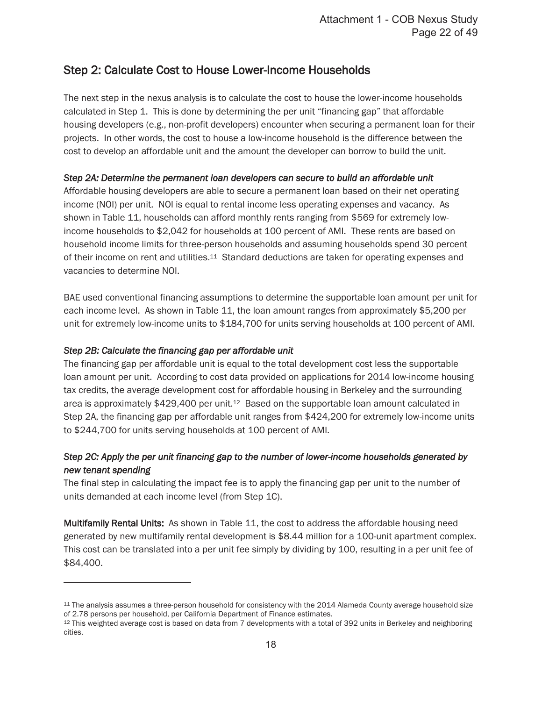#### Step 2: Calculate Cost to House Lower-Income Households

The next step in the nexus analysis is to calculate the cost to house the lower-income households calculated in Step 1. This is done by determining the per unit "financing gap" that affordable housing developers (e.g., non-profit developers) encounter when securing a permanent loan for their projects. In other words, the cost to house a low-income household is the difference between the cost to develop an affordable unit and the amount the developer can borrow to build the unit.

#### *Step 2A: Determine the permanent loan developers can secure to build an affordable unit*

Affordable housing developers are able to secure a permanent loan based on their net operating income (NOI) per unit. NOI is equal to rental income less operating expenses and vacancy. As shown in Table 11, households can afford monthly rents ranging from \$569 for extremely lowincome households to \$2,042 for households at 100 percent of AMI. These rents are based on household income limits for three-person households and assuming households spend 30 percent of their income on rent and utilities.<sup>11</sup> Standard deductions are taken for operating expenses and vacancies to determine NOI.

BAE used conventional financing assumptions to determine the supportable loan amount per unit for each income level. As shown in Table 11, the loan amount ranges from approximately \$5,200 per unit for extremely low-income units to \$184,700 for units serving households at 100 percent of AMI.

#### *Step 2B: Calculate the financing gap per affordable unit*

 $\overline{a}$ 

The financing gap per affordable unit is equal to the total development cost less the supportable loan amount per unit. According to cost data provided on applications for 2014 low-income housing tax credits, the average development cost for affordable housing in Berkeley and the surrounding area is approximately \$429,400 per unit.12 Based on the supportable loan amount calculated in Step 2A, the financing gap per affordable unit ranges from \$424,200 for extremely low-income units to \$244,700 for units serving households at 100 percent of AMI.

#### *Step 2C: Apply the per unit financing gap to the number of lower-income households generated by new tenant spending*

The final step in calculating the impact fee is to apply the financing gap per unit to the number of units demanded at each income level (from Step 1C).

Multifamily Rental Units: As shown in Table 11, the cost to address the affordable housing need generated by new multifamily rental development is \$8.44 million for a 100-unit apartment complex. This cost can be translated into a per unit fee simply by dividing by 100, resulting in a per unit fee of \$84,400.

<sup>11</sup> The analysis assumes a three-person household for consistency with the 2014 Alameda County average household size of 2.78 persons per household, per California Department of Finance estimates.<br><sup>12</sup> This weighted average cost is based on data from 7 developments with a total of 392 units in Berkeley and neighboring

cities.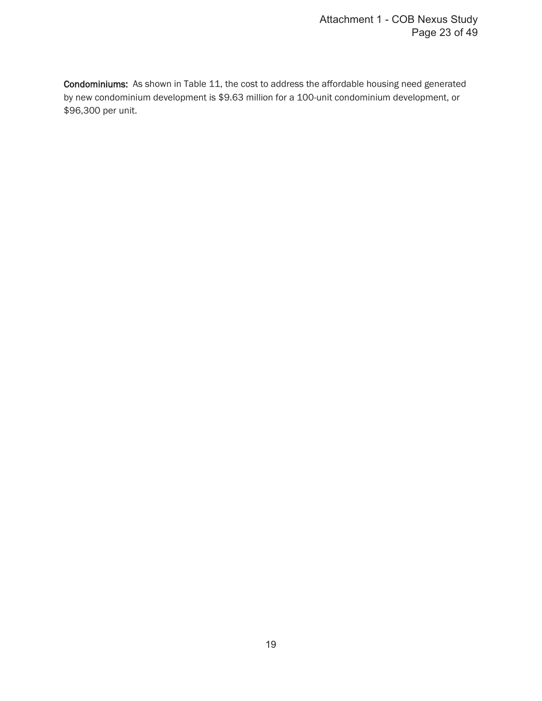Condominiums: As shown in Table 11, the cost to address the affordable housing need generated by new condominium development is \$9.63 million for a 100-unit condominium development, or \$96,300 per unit.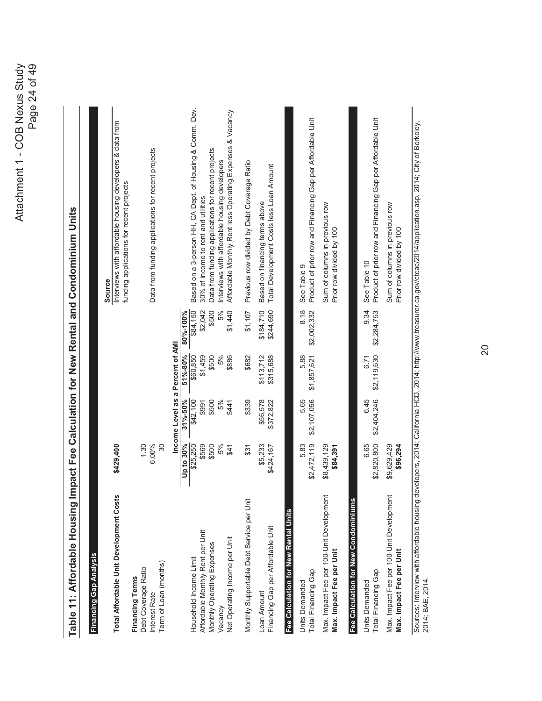# Table 11: Affordable Housing Impact Fee Calculation for New Rental and Condominium Units **Table 11: Affordable Housing Impact Fee Calculation for New Rental and Condominium Units**

| <b>Financing Gap Analysis</b>                                                           |                         |                                  |                     |                      |                                                                                                                 |
|-----------------------------------------------------------------------------------------|-------------------------|----------------------------------|---------------------|----------------------|-----------------------------------------------------------------------------------------------------------------|
| Total Affordable Unit Development Costs                                                 | \$429,400               |                                  |                     |                      | Interviews with affordable housing developers & data from<br>funding applications for recent projects<br>Source |
| Term of Loan (months)<br>Debt Coverage Ratio<br><b>Financing Terms</b><br>Interest Rate | 6.00%<br>1.30<br>30     |                                  |                     |                      | Data from funding applications for recent projects                                                              |
|                                                                                         |                         | Income Level as a Percent of AMI |                     |                      |                                                                                                                 |
| Household Income Limit                                                                  | Up to 30%<br>\$25,250   | 31%-50%<br>\$42,100              | 51%-80%<br>\$60,850 | \$84,150<br>80%-100% | Based on a 3-person HH, CA Dept. of Housing & Comm. Dev.                                                        |
| Affordable Monthly Rent per Unit                                                        | \$569                   | \$991                            | \$1,459             | \$2,042              | 30% of income to rent and utilities                                                                             |
| Monthly Operating Expenses                                                              | \$500                   | \$500                            | \$500               | \$500                | Data from funding applications for recent projects                                                              |
| Vacancy                                                                                 | 5%                      | 5%                               | 5%                  | 5%                   | Interviews with affordable housing developers                                                                   |
| Net Operating Income per Unit                                                           | \$41                    | \$441                            | \$886               | \$1,440              | Affordable Monthly Rent less Operating Expenses & Vacancy                                                       |
| Monthly Supportable Debt Service per Unit                                               | \$31                    | \$339                            | \$682               | \$1,107              | Previous row divided by Debt Coverage Ratio                                                                     |
| Loan Amount                                                                             | \$5,233                 | \$56,578                         | \$113,712           | \$184,710            | Based on financing terms above                                                                                  |
| Financing Gap per Affordable Unit                                                       | \$424,167               | \$372,822                        | \$315,688           | \$244,690            | Total Development Costs less Loan Amount                                                                        |
| Fee Calculation for New Rental                                                          |                         |                                  |                     |                      |                                                                                                                 |
| Total Financing Gap<br>Units Demanded                                                   | \$2,472,119<br>5.83     | \$2,107,056<br>5.65              | 5.88<br>\$1,857,621 | 8.18<br>\$2,002,332  | Product of prior row and Financing Gap per Affordable Unit<br>See Table 9                                       |
| Max. Impact Fee per 100-Unit Development<br>Max. Impact Fee per Unit                    | \$8,439,129<br>\$84,391 |                                  |                     |                      | Sum of columns in previous row<br>Prior row divided by 100                                                      |
| Fee Calculation for New Condominiums                                                    |                         |                                  |                     |                      |                                                                                                                 |
| Total Financing Gap<br><b>Units Demanded</b>                                            | \$2,820,800<br>6.65     | \$2,404,246<br>6.45              | \$2,119,630<br>6.71 | 9.34<br>\$2,284,753  | Product of prior row and Financing Gap per Affordable Unit<br>See Table 10                                      |
| Max. Impact Fee per 100-Unit Development<br>Max. Impact Fee per Unit                    | \$9,629,429<br>\$96,294 |                                  |                     |                      | Sum of columns in previous row<br>Prior row divided by 100                                                      |

Sources: Interview with affordable housing developers, 2014; California HCD, 2014; http://www.treasurer.ca.gov/ctcac/2014/application.asp, 2014; City of Berkeley,<br>2014; BAE, 2014. Sources: Interview with affordable housing developers, 2014; California HCD, 2014; http://www.treasurer.ca.gov/ctcac/2014/application.asp, 2014; City of Berkeley, 2014; BAE, 2014.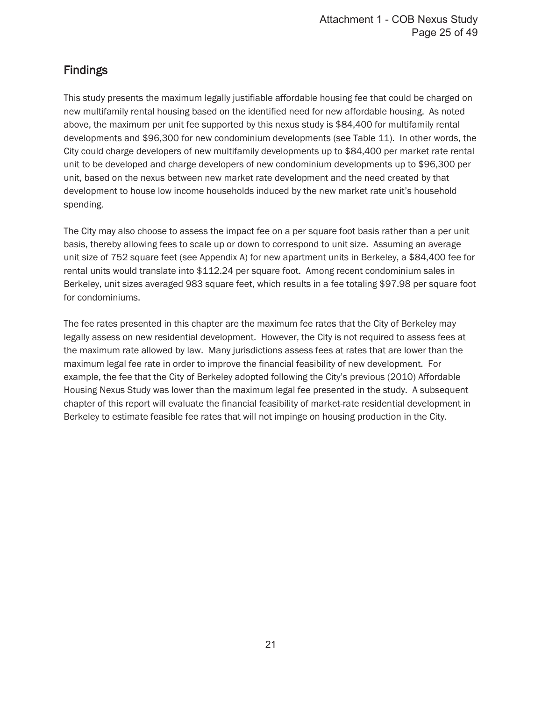#### **Findings**

This study presents the maximum legally justifiable affordable housing fee that could be charged on new multifamily rental housing based on the identified need for new affordable housing. As noted above, the maximum per unit fee supported by this nexus study is \$84,400 for multifamily rental developments and \$96,300 for new condominium developments (see Table 11). In other words, the City could charge developers of new multifamily developments up to \$84,400 per market rate rental unit to be developed and charge developers of new condominium developments up to \$96,300 per unit, based on the nexus between new market rate development and the need created by that development to house low income households induced by the new market rate unit's household spending.

The City may also choose to assess the impact fee on a per square foot basis rather than a per unit basis, thereby allowing fees to scale up or down to correspond to unit size. Assuming an average unit size of 752 square feet (see Appendix A) for new apartment units in Berkeley, a \$84,400 fee for rental units would translate into \$112.24 per square foot. Among recent condominium sales in Berkeley, unit sizes averaged 983 square feet, which results in a fee totaling \$97.98 per square foot for condominiums.

The fee rates presented in this chapter are the maximum fee rates that the City of Berkeley may legally assess on new residential development. However, the City is not required to assess fees at the maximum rate allowed by law. Many jurisdictions assess fees at rates that are lower than the maximum legal fee rate in order to improve the financial feasibility of new development. For example, the fee that the City of Berkeley adopted following the City's previous (2010) Affordable Housing Nexus Study was lower than the maximum legal fee presented in the study. A subsequent chapter of this report will evaluate the financial feasibility of market-rate residential development in Berkeley to estimate feasible fee rates that will not impinge on housing production in the City.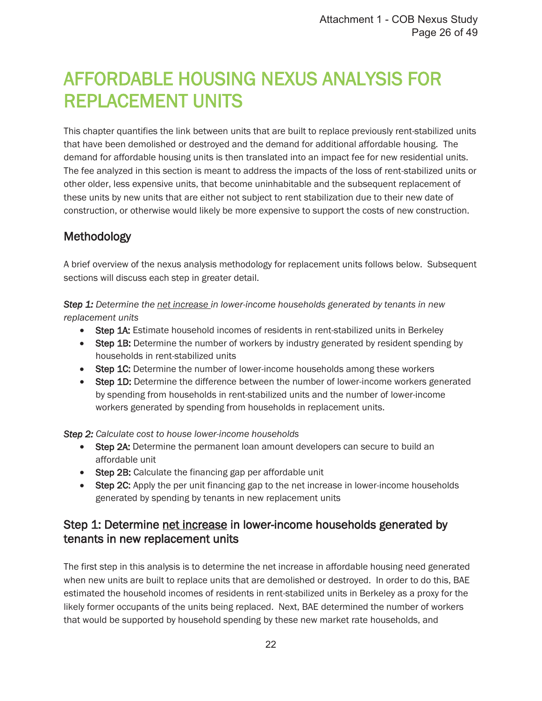### AFFORDABLE HOUSING NEXUS ANALYSIS FOR REPLACEMENT UNITS

This chapter quantifies the link between units that are built to replace previously rent-stabilized units that have been demolished or destroyed and the demand for additional affordable housing. The demand for affordable housing units is then translated into an impact fee for new residential units. The fee analyzed in this section is meant to address the impacts of the loss of rent-stabilized units or other older, less expensive units, that become uninhabitable and the subsequent replacement of these units by new units that are either not subject to rent stabilization due to their new date of construction, or otherwise would likely be more expensive to support the costs of new construction.

#### Methodology

A brief overview of the nexus analysis methodology for replacement units follows below. Subsequent sections will discuss each step in greater detail.

*Step 1: Determine the net increase in lower-income households generated by tenants in new replacement units* 

- Step 1A: Estimate household incomes of residents in rent-stabilized units in Berkeley
- Step 1B: Determine the number of workers by industry generated by resident spending by households in rent-stabilized units
- Step 1C: Determine the number of lower-income households among these workers
- Step 1D: Determine the difference between the number of lower-income workers generated by spending from households in rent-stabilized units and the number of lower-income workers generated by spending from households in replacement units.

#### *Step 2: Calculate cost to house lower-income households*

- Step 2A: Determine the permanent loan amount developers can secure to build an affordable unit
- Step 2B: Calculate the financing gap per affordable unit
- Step 2C: Apply the per unit financing gap to the net increase in lower-income households generated by spending by tenants in new replacement units

#### Step 1: Determine net increase in lower-income households generated by tenants in new replacement units

The first step in this analysis is to determine the net increase in affordable housing need generated when new units are built to replace units that are demolished or destroyed. In order to do this, BAE estimated the household incomes of residents in rent-stabilized units in Berkeley as a proxy for the likely former occupants of the units being replaced. Next, BAE determined the number of workers that would be supported by household spending by these new market rate households, and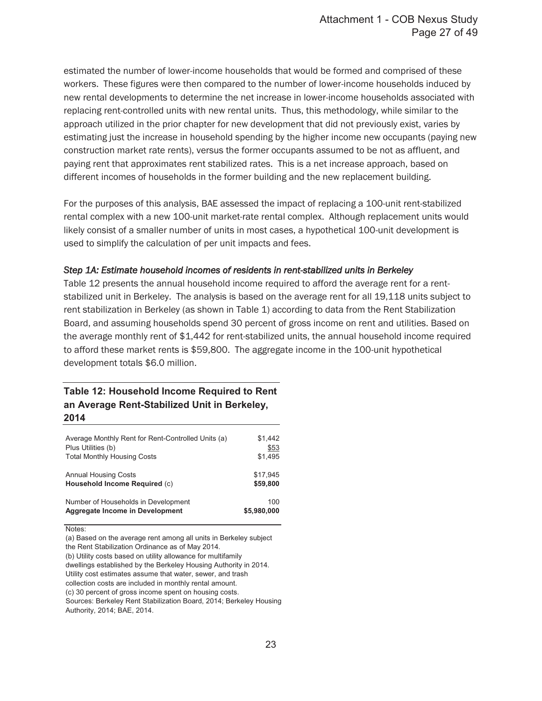estimated the number of lower-income households that would be formed and comprised of these workers. These figures were then compared to the number of lower-income households induced by new rental developments to determine the net increase in lower-income households associated with replacing rent-controlled units with new rental units. Thus, this methodology, while similar to the approach utilized in the prior chapter for new development that did not previously exist, varies by estimating just the increase in household spending by the higher income new occupants (paying new construction market rate rents), versus the former occupants assumed to be not as affluent, and paying rent that approximates rent stabilized rates. This is a net increase approach, based on different incomes of households in the former building and the new replacement building.

For the purposes of this analysis, BAE assessed the impact of replacing a 100-unit rent-stabilized rental complex with a new 100-unit market-rate rental complex. Although replacement units would likely consist of a smaller number of units in most cases, a hypothetical 100-unit development is used to simplify the calculation of per unit impacts and fees.

#### *Step 1A: Estimate household incomes of residents in rent-stabilized units in Berkeley*

Table 12 presents the annual household income required to afford the average rent for a rentstabilized unit in Berkeley. The analysis is based on the average rent for all 19,118 units subject to rent stabilization in Berkeley (as shown in Table 1) according to data from the Rent Stabilization Board, and assuming households spend 30 percent of gross income on rent and utilities. Based on the average monthly rent of \$1,442 for rent-stabilized units, the annual household income required to afford these market rents is \$59,800. The aggregate income in the 100-unit hypothetical development totals \$6.0 million.

#### **Table 12: Household Income Required to Rent an Average Rent-Stabilized Unit in Berkeley, 2014**

| Average Monthly Rent for Rent-Controlled Units (a) | \$1,442     |
|----------------------------------------------------|-------------|
| Plus Utilities (b)                                 | \$53        |
| <b>Total Monthly Housing Costs</b>                 | \$1.495     |
| <b>Annual Housing Costs</b>                        | \$17.945    |
| Household Income Required (c)                      | \$59,800    |
| Number of Households in Development                | 100         |
| Aggregate Income in Development                    | \$5.980.000 |

Notes:

(a) Based on the average rent among all units in Berkeley subject the Rent Stabilization Ordinance as of May 2014. (b) Utility costs based on utility allowance for multifamily dwellings established by the Berkeley Housing Authority in 2014. Utility cost estimates assume that water, sewer, and trash collection costs are included in monthly rental amount. (c) 30 percent of gross income spent on housing costs. Sources: Berkeley Rent Stabilization Board, 2014; Berkeley Housing Authority, 2014; BAE, 2014.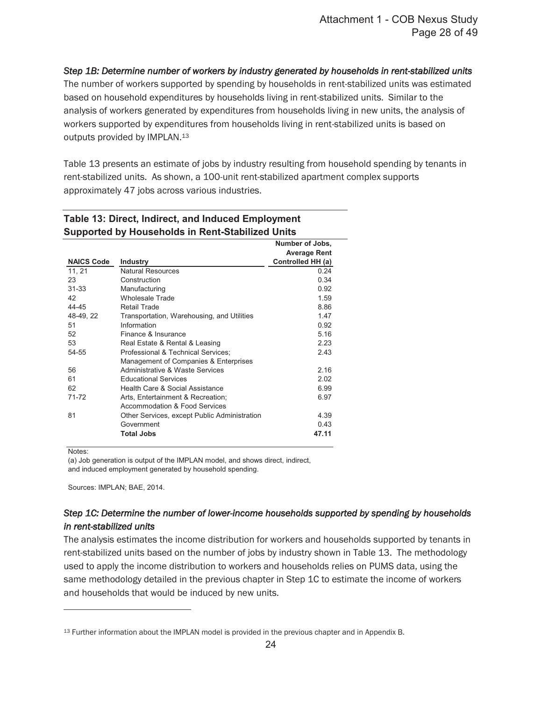#### *Step 1B: Determine number of workers by industry generated by households in rent-stabilized units*

The number of workers supported by spending by households in rent-stabilized units was estimated based on household expenditures by households living in rent-stabilized units. Similar to the analysis of workers generated by expenditures from households living in new units, the analysis of workers supported by expenditures from households living in rent-stabilized units is based on outputs provided by IMPLAN.13

Table 13 presents an estimate of jobs by industry resulting from household spending by tenants in rent-stabilized units. As shown, a 100-unit rent-stabilized apartment complex supports approximately 47 jobs across various industries.

|                   |                                              | Number of Jobs,<br><b>Average Rent</b> |
|-------------------|----------------------------------------------|----------------------------------------|
| <b>NAICS Code</b> | <b>Industry</b>                              | Controlled HH (a)                      |
| 11, 21            | <b>Natural Resources</b>                     | 0.24                                   |
| 23                | Construction                                 | 0.34                                   |
| $31 - 33$         | Manufacturing                                | 0.92                                   |
| 42                | <b>Wholesale Trade</b>                       | 1.59                                   |
| 44-45             | <b>Retail Trade</b>                          | 8.86                                   |
| 48-49, 22         | Transportation, Warehousing, and Utilities   | 1.47                                   |
| 51                | Information                                  | 0.92                                   |
| 52                | Finance & Insurance                          | 5.16                                   |
| 53                | Real Estate & Rental & Leasing               | 2.23                                   |
| 54-55             | Professional & Technical Services:           | 2.43                                   |
|                   | Management of Companies & Enterprises        |                                        |
| 56                | Administrative & Waste Services              | 2.16                                   |
| 61                | <b>Educational Services</b>                  | 2.02                                   |
| 62                | Health Care & Social Assistance              | 6.99                                   |
| 71-72             | Arts, Entertainment & Recreation;            | 6.97                                   |
|                   | Accommodation & Food Services                |                                        |
| 81                | Other Services, except Public Administration | 4.39                                   |
|                   | Government                                   | 0.43                                   |
|                   | <b>Total Jobs</b>                            | 47.11                                  |

#### **Table 13: Direct, Indirect, and Induced Employment Supported by Households in Rent-Stabilized Units**

Notes:

 $\overline{a}$ 

(a) Job generation is output of the IMPLAN model, and shows direct, indirect, and induced employment generated by household spending.

Sources: IMPLAN; BAE, 2014.

#### *Step 1C: Determine the number of lower-income households supported by spending by households in rent-stabilized units*

The analysis estimates the income distribution for workers and households supported by tenants in rent-stabilized units based on the number of jobs by industry shown in Table 13. The methodology used to apply the income distribution to workers and households relies on PUMS data, using the same methodology detailed in the previous chapter in Step 1C to estimate the income of workers and households that would be induced by new units.

<sup>13</sup> Further information about the IMPLAN model is provided in the previous chapter and in Appendix B.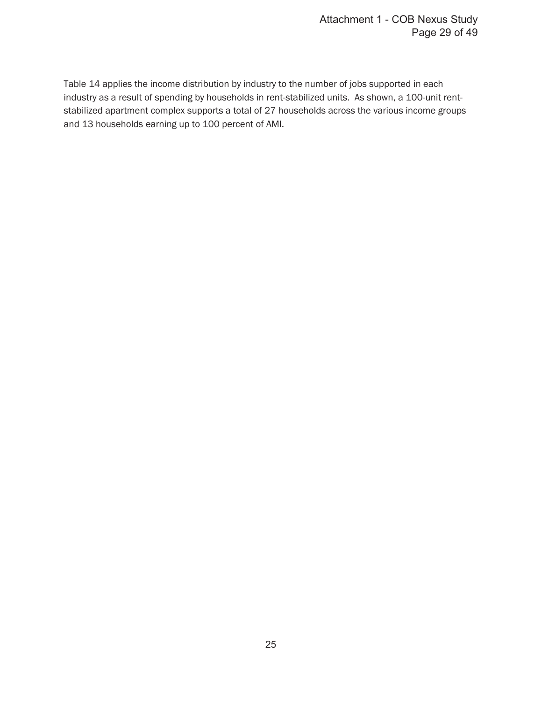Table 14 applies the income distribution by industry to the number of jobs supported in each industry as a result of spending by households in rent-stabilized units. As shown, a 100-unit rentstabilized apartment complex supports a total of 27 households across the various income groups and 13 households earning up to 100 percent of AMI.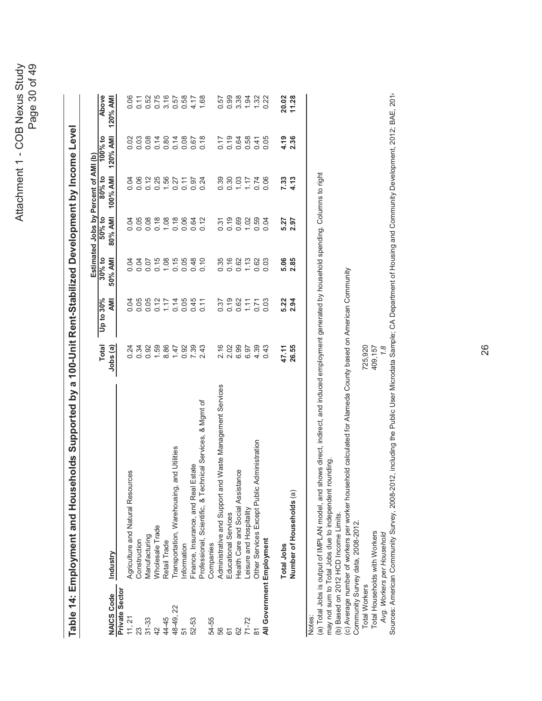| $\tilde{\phantom{a}}$<br>)<br>)<br>  |  |
|--------------------------------------|--|
|                                      |  |
|                                      |  |
|                                      |  |
|                                      |  |
|                                      |  |
| ֧֖֖֧֧֚֚֚֚֚֚֚֚֚֚֚֚֚֚֚֚֚֚֚֚֝֓ <u>֓</u> |  |
|                                      |  |
|                                      |  |
|                                      |  |
|                                      |  |
|                                      |  |
|                                      |  |
|                                      |  |
|                                      |  |
|                                      |  |
|                                      |  |
|                                      |  |
|                                      |  |
|                                      |  |
|                                      |  |
|                                      |  |
| ;<br>;<br>;                          |  |
|                                      |  |
| $\frac{1}{2}$                        |  |
|                                      |  |
|                                      |  |
| ;<br>)                               |  |
|                                      |  |
| :<br>:<br><                          |  |
|                                      |  |
|                                      |  |
|                                      |  |
|                                      |  |
|                                      |  |
|                                      |  |
|                                      |  |
|                                      |  |
|                                      |  |
|                                      |  |
|                                      |  |
|                                      |  |
|                                      |  |
| ļ                                    |  |
|                                      |  |
|                                      |  |
|                                      |  |
|                                      |  |
| $\frac{1}{2}$                        |  |
| ł                                    |  |
| 3<br>5<br>5                          |  |
| $\mathbf$                            |  |
| Ī                                    |  |
|                                      |  |
|                                      |  |
|                                      |  |
| ś                                    |  |
| ĺ<br>í                               |  |
| l<br>ĵ<br>l                          |  |
|                                      |  |
|                                      |  |
|                                      |  |
| Tahle                                |  |

|                           |                                                           |              |                   |           |           | Estimated Jobs by Percent of AMI (b) |                  |              |
|---------------------------|-----------------------------------------------------------|--------------|-------------------|-----------|-----------|--------------------------------------|------------------|--------------|
|                           |                                                           | <b>Total</b> | Up to 30%         | $30\%$ to | $50\%$ to | $20\%$ to                            | $100%$ to        | Above        |
| <b>NAICS Code</b>         | Industry                                                  | Jobs (a)     | ξ                 | 50% AMI   | 80% AMI   | 100% AMI                             | 120% AMI         | 120% AM      |
| Private Sector            |                                                           |              |                   |           |           |                                      |                  |              |
| $11, 21$<br>23            | Agriculture and Natural Resources                         | 0.24         | 0.04              |           | 0.04      | 0.04                                 | 0.02             | 0.06         |
|                           | Construction                                              | 0.34         | 0.05              | 0.04      | 0.05      | 0.06                                 | 0.03             | 0.11         |
| $31 - 33$                 | Manufacturing                                             | 0.92         | 0.05              | 0.07      | 0.08      | 0.12                                 | 0.08             | 0.52         |
|                           | Wholesale Trade                                           | 1.59         |                   | 0.15      | 0.18      | 0.25                                 |                  |              |
| 42<br>44-45<br>48-49, 22  | Retail Trade                                              | 8.86         | $27740$<br>0.1400 | 1.08      | 1.08      | 1.56                                 | 0.80             | 0.75<br>3.16 |
|                           | and Utilities<br>Transportation, Warehousing,             | 1.47         |                   | 0.15      | 0.18      | 0.27                                 | 0.14             | 0.57         |
|                           | Information                                               | 0.92         |                   | 0.05      | 0.06      | 0.11                                 | 0.08             | 0.58         |
| 52-53                     | Estate<br>Finance, Insurance, and Real                    | 7.39         | 0.45              | 0.48      | 0.64      | 0.97                                 | 0.67             | 4.17         |
|                           | Professional, Scientific, & Technical Services, & Mgmt of | 2.43         | 0.11              | 0.10      | 0.12      | 0.24                                 | 0.18             | 1.68         |
| 54-55                     | Companies                                                 |              |                   |           |           |                                      |                  |              |
| 56                        | Administrative and Support and Waste Management Services  | 2.16         | 0.37              | 0.35      | 0.31      | 0.39                                 | 0.17             | 0.57         |
|                           | Educational Services                                      | 2.02         | 0.19              | 0.16      | 0.19      | 0.30                                 | 0.19             | 0.99         |
| 82                        | Health Care and Social Assistance                         | 6.99         | 0.62              | 0.62      | 0.69      | 1.03                                 | 0.64             | 3.38         |
| $71 - 72$                 | Leisure and Hospitality                                   | 6.97         | 1.11              | 1.13      | 1.02      | 1.17                                 | 0.58             | 1.94         |
|                           | Administration<br>Other Services Except Public            | 4.39         | 0.71              | 0.62      | 0.59      | 0.74                                 | 0.41             | 1.32         |
| All Government Employment |                                                           | 0.43         | 0.03              | C.O       | 0.04      | 0.06                                 | 0.05             | 0.22         |
|                           | <b>Total Jobs</b>                                         | 47.11        | 5.22              | 5.06      | 5.27      | 7.33<br>4.13                         | $4.19$<br>$2.36$ | 20.02        |
|                           | Number of Households (a)                                  | 26.55        | 2.94              | 2.85      | 2.97      |                                      |                  | 11.28        |
|                           |                                                           |              |                   |           |           |                                      |                  |              |

Notes:

(a) Total Jobs is output of IMPLAN model, and shows direct, indirect, and induced employment generated by household spending. Columns to right<br>may not sum to Total Jobs due to independent rounding. (a) Total Jobs is output of IMPLAN model, and shows direct, indirect, and induced employment generated by household spending. Columns to right

may not sum to Total Jobs due to independent rounding.

(b) Based on 2012 HCD Income Limits. (b) Based on 2012 HCD Income Limits.

(c) Average number of workers per worker household calculated for Alameda County based on American Community<br>Community Survey data, 2008-2012. (c) Average number of workers per worker household calculated for Alameda County based on American Community

Total Workers 725,920 Community Survey data, 2008-2012. Total Workers

725,920<br>409,157  $1.8$ Total Households with Workers 409,157 *Avg. Workers per Household 1.8* Total Households with Workers Avg. Workers per Household

Sources: American Community Survey, 2008-2012, including the Public User Microdata Sample; CA Department of Housing and Community Development, 2012; BAE, 2014 Sources: American Community Survey, 2008-2012, including the Public User Microdata Sample; CA Department of Housing and Community Development, 2012; BAE, 2014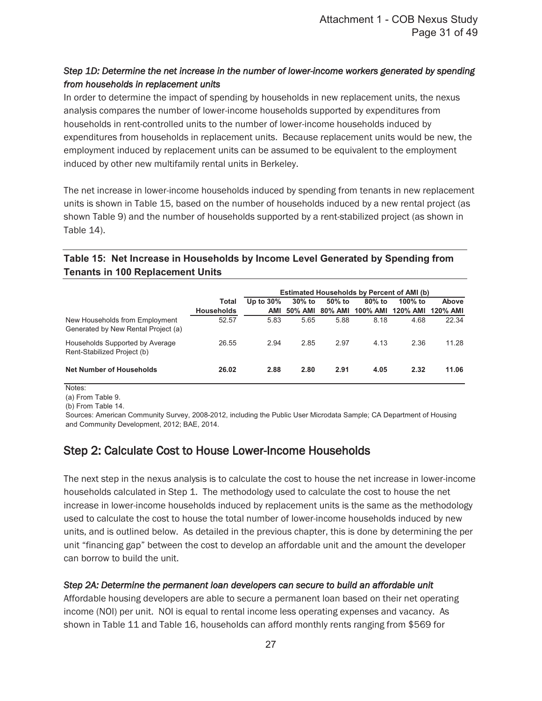#### *Step 1D: Determine the net increase in the number of lower-income workers generated by spending from households in replacement units*

In order to determine the impact of spending by households in new replacement units, the nexus analysis compares the number of lower-income households supported by expenditures from households in rent-controlled units to the number of lower-income households induced by expenditures from households in replacement units. Because replacement units would be new, the employment induced by replacement units can be assumed to be equivalent to the employment induced by other new multifamily rental units in Berkeley.

The net increase in lower-income households induced by spending from tenants in new replacement units is shown in Table 15, based on the number of households induced by a new rental project (as shown Table 9) and the number of households supported by a rent-stabilized project (as shown in Table 14).

#### **Table 15: Net Increase in Households by Income Level Generated by Spending from Tenants in 100 Replacement Units**

|                                                                       |                   |              |           |         |           | Estimated Households by Percent of AMI (b) |       |
|-----------------------------------------------------------------------|-------------------|--------------|-----------|---------|-----------|--------------------------------------------|-------|
|                                                                       | Total             | Up to $30\%$ | $30\%$ to | 50% to  | $80\%$ to | 100 $%$ to                                 | Above |
|                                                                       | <b>Households</b> | AMI          | 50% AMI   | 80% AMI | 100% AMI  | 120% AMI 120% AMI                          |       |
| New Households from Employment<br>Generated by New Rental Project (a) | 52.57             | 5.83         | 5.65      | 5.88    | 8.18      | 4.68                                       | 22.34 |
| Households Supported by Average<br>Rent-Stabilized Project (b)        | 26.55             | 2.94         | 2.85      | 2.97    | 4.13      | 2.36                                       | 11.28 |
| <b>Net Number of Households</b>                                       | 26.02             | 2.88         | 2.80      | 2.91    | 4.05      | 2.32                                       | 11.06 |

Notes:

(a) From Table 9.

(b) From Table 14.

Sources: American Community Survey, 2008-2012, including the Public User Microdata Sample; CA Department of Housing and Community Development, 2012; BAE, 2014.

#### Step 2: Calculate Cost to House Lower-Income Households

The next step in the nexus analysis is to calculate the cost to house the net increase in lower-income households calculated in Step 1. The methodology used to calculate the cost to house the net increase in lower-income households induced by replacement units is the same as the methodology used to calculate the cost to house the total number of lower-income households induced by new units, and is outlined below. As detailed in the previous chapter, this is done by determining the per unit "financing gap" between the cost to develop an affordable unit and the amount the developer can borrow to build the unit.

#### *Step 2A: Determine the permanent loan developers can secure to build an affordable unit*

Affordable housing developers are able to secure a permanent loan based on their net operating income (NOI) per unit. NOI is equal to rental income less operating expenses and vacancy. As shown in Table 11 and Table 16, households can afford monthly rents ranging from \$569 for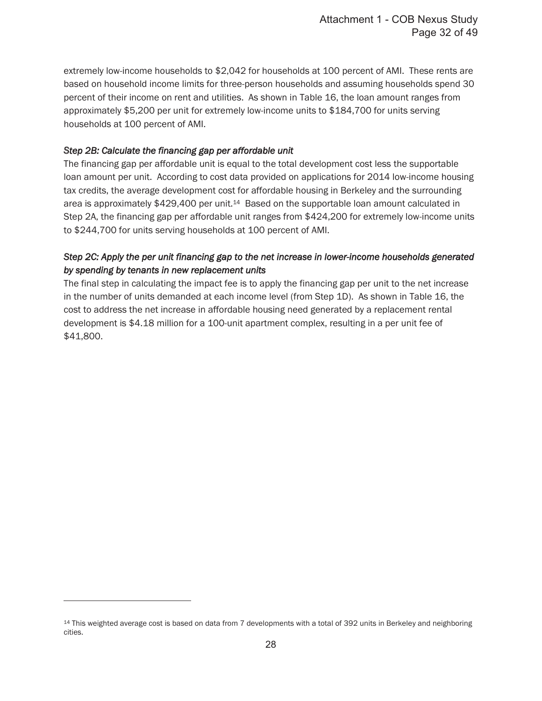extremely low-income households to \$2,042 for households at 100 percent of AMI. These rents are based on household income limits for three-person households and assuming households spend 30 percent of their income on rent and utilities. As shown in Table 16, the loan amount ranges from approximately \$5,200 per unit for extremely low-income units to \$184,700 for units serving households at 100 percent of AMI.

#### *Step 2B: Calculate the financing gap per affordable unit*

 $\overline{a}$ 

The financing gap per affordable unit is equal to the total development cost less the supportable loan amount per unit. According to cost data provided on applications for 2014 low-income housing tax credits, the average development cost for affordable housing in Berkeley and the surrounding area is approximately \$429,400 per unit.<sup>14</sup> Based on the supportable loan amount calculated in Step 2A, the financing gap per affordable unit ranges from \$424,200 for extremely low-income units to \$244,700 for units serving households at 100 percent of AMI.

#### *Step 2C: Apply the per unit financing gap to the net increase in lower-income households generated by spending by tenants in new replacement units*

The final step in calculating the impact fee is to apply the financing gap per unit to the net increase in the number of units demanded at each income level (from Step 1D). As shown in Table 16, the cost to address the net increase in affordable housing need generated by a replacement rental development is \$4.18 million for a 100-unit apartment complex, resulting in a per unit fee of \$41,800.

<sup>14</sup> This weighted average cost is based on data from 7 developments with a total of 392 units in Berkeley and neighboring cities.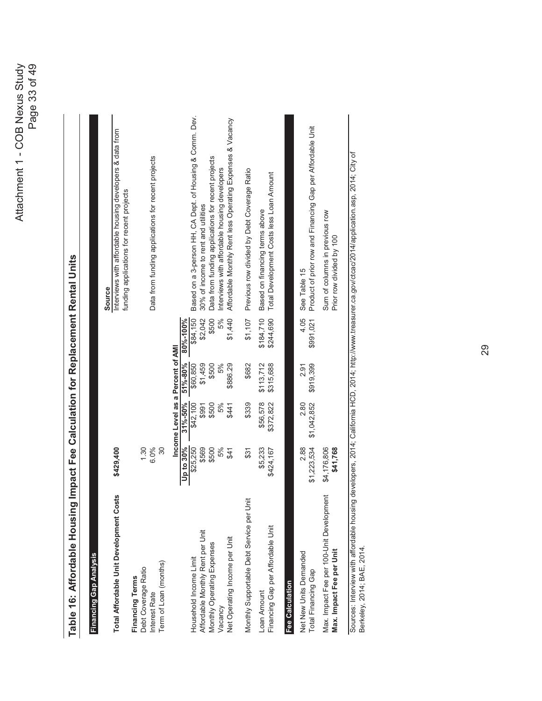# **Table 16: Affordable Housing Impact Fee Calculation for Replacement Rental Units**  Table 16: Affordable Housing Impact Fee Calculation for Replacement Rental Units

| Financing Gap Analysis                                                                  |                          |                                  |                        |                        |                                                                                                                 |
|-----------------------------------------------------------------------------------------|--------------------------|----------------------------------|------------------------|------------------------|-----------------------------------------------------------------------------------------------------------------|
| Total Affordable Unit Development Costs                                                 | \$429,400                |                                  |                        |                        | Interviews with affordable housing developers & data from<br>funding applications for recent projects<br>Source |
| Term of Loan (months)<br>Debt Coverage Ratio<br><b>Financing Terms</b><br>Interest Rate | 6.0%<br>1.30<br>30       |                                  |                        |                        | Data from funding applications for recent projects                                                              |
|                                                                                         |                          | Income Level as a Percent of AMI |                        |                        |                                                                                                                 |
| Household Income Limit                                                                  | Up to $30\%$<br>\$25,250 | 31%-50%<br>\$42,100              | 51%-80%<br>\$60,850    | \$84,150<br>80%-100%   | Based on a 3-person HH, CA Dept. of Housing & Comm. Dev.                                                        |
| Affordable Monthly Rent per Unit                                                        | \$569                    | \$991                            | \$1,459                | \$2,042                | 30% of income to rent and utilities                                                                             |
| Monthly Operating Expenses                                                              | \$500                    | \$500                            | \$500                  | \$500                  | Data from funding applications for recent projects                                                              |
| Vacancy                                                                                 | 5%                       | 5%                               | 5%                     | 5%                     | Interviews with affordable housing developers                                                                   |
| Net Operating Income per Unit                                                           | \$41                     | \$441                            | \$886.29               | \$1,440                | Affordable Monthly Rent less Operating Expenses & Vacancy                                                       |
| Monthly Supportable Debt Service per Unit                                               | 531                      | \$339                            | \$682                  | \$1,107                | Previous row divided by Debt Coverage Ratio                                                                     |
| Financing Gap per Affordable Unit<br>Loan Amount                                        | \$5.233<br>\$424,167     | \$56,578<br>\$372,822            | \$113,712<br>\$315,688 | \$184,710<br>\$244,690 | Total Development Costs less Loan Amount<br>Based on financing terms above                                      |
| <b>Fee Calculation</b>                                                                  |                          |                                  |                        |                        |                                                                                                                 |
| Net New Units Demanded<br>Total Financing Gap                                           | 2.88<br>\$1,223,534      | \$1,042,852<br>2.80              | \$919,399<br>2.91      | 4.05<br>\$991,021      | Product of prior row and Financing Gap per Affordable Unit<br>See Table 15                                      |
| Max. Impact Fee per 100-Unit Development<br>Max. Impact Fee per Unit                    | \$4,176,806<br>\$41,768  |                                  |                        |                        | Sum of columns in previous row<br>Prior row divided by 100                                                      |

Sources: Interview with affordable housing developers, 2014; California HCD, 2014; http://www.treasurer.ca.gov/ctcac/2014/application.asp, 2014; City of<br>Berkeley, 2014; BAE, 2014. Sources: Interview with affordable housing developers, 2014; California HCD, 2014; http://www.treasurer.ca.gov/ctcac/2014/application.asp, 2014; City of Berkeley, 2014; BAE, 2014.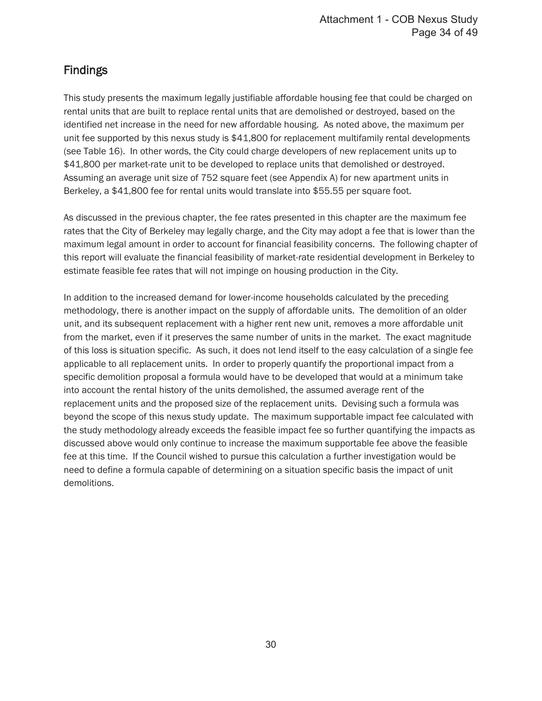#### **Findings**

This study presents the maximum legally justifiable affordable housing fee that could be charged on rental units that are built to replace rental units that are demolished or destroyed, based on the identified net increase in the need for new affordable housing. As noted above, the maximum per unit fee supported by this nexus study is \$41,800 for replacement multifamily rental developments (see Table 16). In other words, the City could charge developers of new replacement units up to \$41,800 per market-rate unit to be developed to replace units that demolished or destroyed. Assuming an average unit size of 752 square feet (see Appendix A) for new apartment units in Berkeley, a \$41,800 fee for rental units would translate into \$55.55 per square foot.

As discussed in the previous chapter, the fee rates presented in this chapter are the maximum fee rates that the City of Berkeley may legally charge, and the City may adopt a fee that is lower than the maximum legal amount in order to account for financial feasibility concerns. The following chapter of this report will evaluate the financial feasibility of market-rate residential development in Berkeley to estimate feasible fee rates that will not impinge on housing production in the City.

In addition to the increased demand for lower-income households calculated by the preceding methodology, there is another impact on the supply of affordable units. The demolition of an older unit, and its subsequent replacement with a higher rent new unit, removes a more affordable unit from the market, even if it preserves the same number of units in the market. The exact magnitude of this loss is situation specific. As such, it does not lend itself to the easy calculation of a single fee applicable to all replacement units. In order to properly quantify the proportional impact from a specific demolition proposal a formula would have to be developed that would at a minimum take into account the rental history of the units demolished, the assumed average rent of the replacement units and the proposed size of the replacement units. Devising such a formula was beyond the scope of this nexus study update. The maximum supportable impact fee calculated with the study methodology already exceeds the feasible impact fee so further quantifying the impacts as discussed above would only continue to increase the maximum supportable fee above the feasible fee at this time. If the Council wished to pursue this calculation a further investigation would be need to define a formula capable of determining on a situation specific basis the impact of unit demolitions.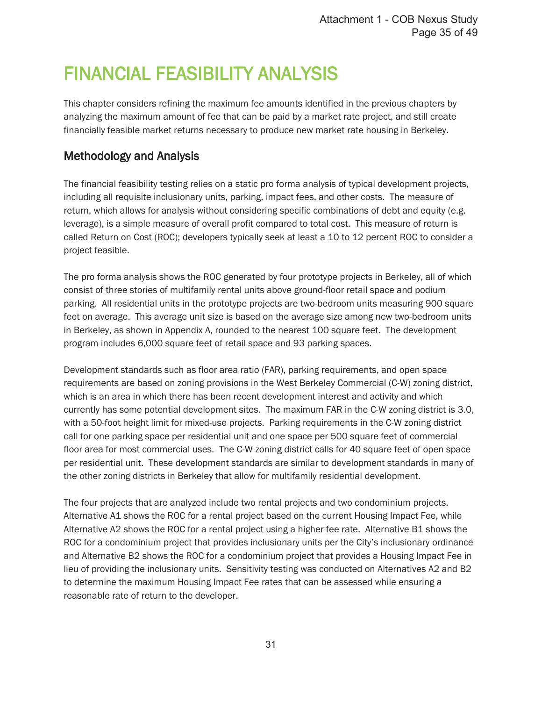# FINANCIAL FEASIBILITY ANALYSIS

This chapter considers refining the maximum fee amounts identified in the previous chapters by analyzing the maximum amount of fee that can be paid by a market rate project, and still create financially feasible market returns necessary to produce new market rate housing in Berkeley.

#### Methodology and Analysis

The financial feasibility testing relies on a static pro forma analysis of typical development projects, including all requisite inclusionary units, parking, impact fees, and other costs. The measure of return, which allows for analysis without considering specific combinations of debt and equity (e.g. leverage), is a simple measure of overall profit compared to total cost. This measure of return is called Return on Cost (ROC); developers typically seek at least a 10 to 12 percent ROC to consider a project feasible.

The pro forma analysis shows the ROC generated by four prototype projects in Berkeley, all of which consist of three stories of multifamily rental units above ground-floor retail space and podium parking. All residential units in the prototype projects are two-bedroom units measuring 900 square feet on average. This average unit size is based on the average size among new two-bedroom units in Berkeley, as shown in Appendix A, rounded to the nearest 100 square feet. The development program includes 6,000 square feet of retail space and 93 parking spaces.

Development standards such as floor area ratio (FAR), parking requirements, and open space requirements are based on zoning provisions in the West Berkeley Commercial (C-W) zoning district, which is an area in which there has been recent development interest and activity and which currently has some potential development sites. The maximum FAR in the C-W zoning district is 3.0, with a 50-foot height limit for mixed-use projects. Parking requirements in the C-W zoning district call for one parking space per residential unit and one space per 500 square feet of commercial floor area for most commercial uses. The C-W zoning district calls for 40 square feet of open space per residential unit. These development standards are similar to development standards in many of the other zoning districts in Berkeley that allow for multifamily residential development.

The four projects that are analyzed include two rental projects and two condominium projects. Alternative A1 shows the ROC for a rental project based on the current Housing Impact Fee, while Alternative A2 shows the ROC for a rental project using a higher fee rate. Alternative B1 shows the ROC for a condominium project that provides inclusionary units per the City's inclusionary ordinance and Alternative B2 shows the ROC for a condominium project that provides a Housing Impact Fee in lieu of providing the inclusionary units. Sensitivity testing was conducted on Alternatives A2 and B2 to determine the maximum Housing Impact Fee rates that can be assessed while ensuring a reasonable rate of return to the developer.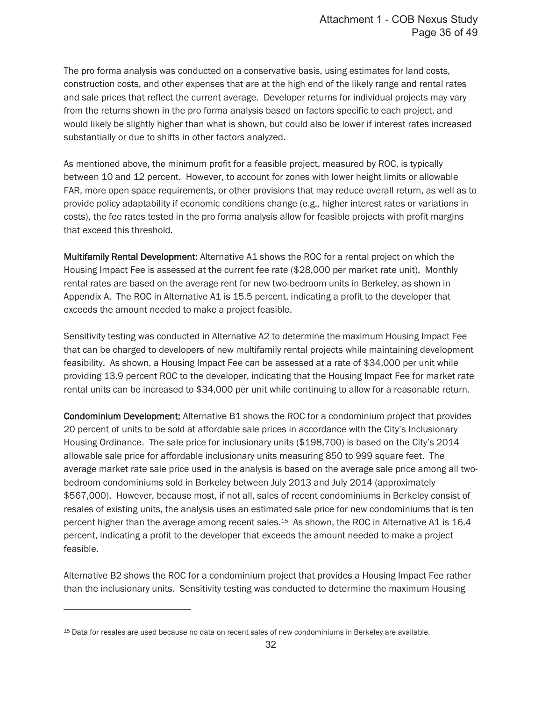The pro forma analysis was conducted on a conservative basis, using estimates for land costs, construction costs, and other expenses that are at the high end of the likely range and rental rates and sale prices that reflect the current average. Developer returns for individual projects may vary from the returns shown in the pro forma analysis based on factors specific to each project, and would likely be slightly higher than what is shown, but could also be lower if interest rates increased substantially or due to shifts in other factors analyzed.

As mentioned above, the minimum profit for a feasible project, measured by ROC, is typically between 10 and 12 percent. However, to account for zones with lower height limits or allowable FAR, more open space requirements, or other provisions that may reduce overall return, as well as to provide policy adaptability if economic conditions change (e.g., higher interest rates or variations in costs), the fee rates tested in the pro forma analysis allow for feasible projects with profit margins that exceed this threshold.

Multifamily Rental Development: Alternative A1 shows the ROC for a rental project on which the Housing Impact Fee is assessed at the current fee rate (\$28,000 per market rate unit). Monthly rental rates are based on the average rent for new two-bedroom units in Berkeley, as shown in Appendix A. The ROC in Alternative A1 is 15.5 percent, indicating a profit to the developer that exceeds the amount needed to make a project feasible.

Sensitivity testing was conducted in Alternative A2 to determine the maximum Housing Impact Fee that can be charged to developers of new multifamily rental projects while maintaining development feasibility. As shown, a Housing Impact Fee can be assessed at a rate of \$34,000 per unit while providing 13.9 percent ROC to the developer, indicating that the Housing Impact Fee for market rate rental units can be increased to \$34,000 per unit while continuing to allow for a reasonable return.

Condominium Development: Alternative B1 shows the ROC for a condominium project that provides 20 percent of units to be sold at affordable sale prices in accordance with the City's Inclusionary Housing Ordinance. The sale price for inclusionary units (\$198,700) is based on the City's 2014 allowable sale price for affordable inclusionary units measuring 850 to 999 square feet. The average market rate sale price used in the analysis is based on the average sale price among all twobedroom condominiums sold in Berkeley between July 2013 and July 2014 (approximately \$567,000). However, because most, if not all, sales of recent condominiums in Berkeley consist of resales of existing units, the analysis uses an estimated sale price for new condominiums that is ten percent higher than the average among recent sales.15 As shown, the ROC in Alternative A1 is 16.4 percent, indicating a profit to the developer that exceeds the amount needed to make a project feasible.

Alternative B2 shows the ROC for a condominium project that provides a Housing Impact Fee rather than the inclusionary units. Sensitivity testing was conducted to determine the maximum Housing

 $\overline{a}$ 

<sup>15</sup> Data for resales are used because no data on recent sales of new condominiums in Berkeley are available.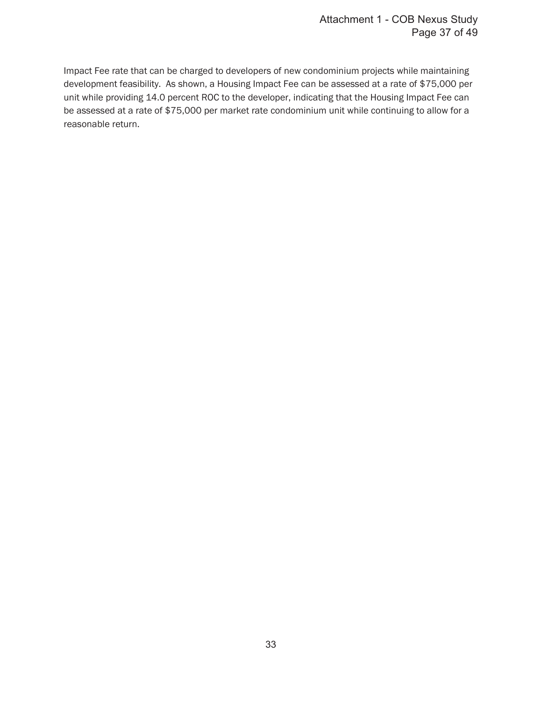Impact Fee rate that can be charged to developers of new condominium projects while maintaining development feasibility. As shown, a Housing Impact Fee can be assessed at a rate of \$75,000 per unit while providing 14.0 percent ROC to the developer, indicating that the Housing Impact Fee can be assessed at a rate of \$75,000 per market rate condominium unit while continuing to allow for a reasonable return.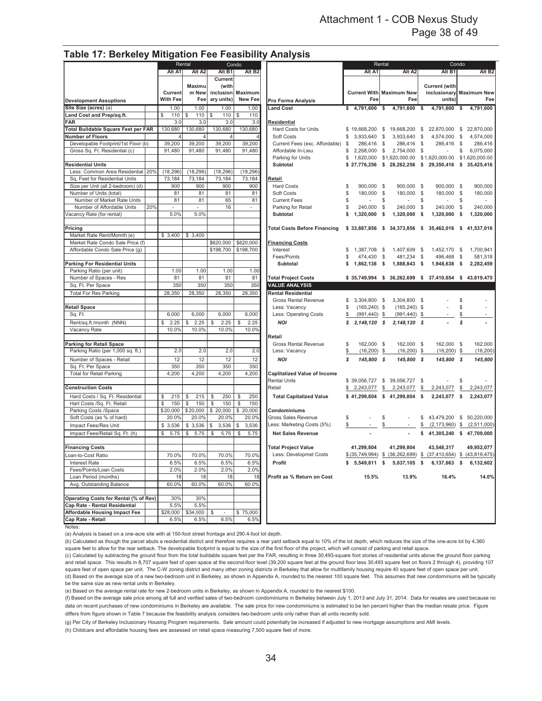#### **Table 17: Berkeley Mitigation Fee Feasibility Analysis**

|                                                |     |            | Rental             |                       | Condo                    |                                       |                                | Rental               |     |                                                                                                | Condo |                             |
|------------------------------------------------|-----|------------|--------------------|-----------------------|--------------------------|---------------------------------------|--------------------------------|----------------------|-----|------------------------------------------------------------------------------------------------|-------|-----------------------------|
|                                                |     | Alt A1     | Alt A <sub>2</sub> | Alt <sub>B1</sub>     | Alt <sub>B2</sub>        |                                       | Alt A1                         | Alt A <sub>2</sub>   |     | Alt <sub>B1</sub>                                                                              |       | Alt <sub>B2</sub>           |
|                                                |     |            |                    | Current               |                          |                                       |                                |                      |     |                                                                                                |       |                             |
|                                                |     |            | Maximu             | (with                 |                          |                                       |                                |                      |     | <b>Current (with)</b>                                                                          |       |                             |
|                                                |     | Current    | m New              | inclusion             | <b>Maximum</b>           |                                       | <b>Current With</b>            | <b>Maximum New</b>   |     | inclusionary Maximum New                                                                       |       |                             |
| <b>Development Assuptions</b>                  |     | With Fee   | Fee                | ary units)            | <b>New Fee</b>           | Pro Forma Analysis                    | Fee                            |                      | Fee | units)                                                                                         |       | Fee                         |
| Site Size (acres) (a)                          |     | 1.00       | 1.00               | 1.00                  | 1.00                     | <b>Land Cost</b>                      | \$ 4,791,600 \$ 4,791,600      |                      |     | 4,791,600 \$<br>- \$                                                                           |       | 4,791,600                   |
| Land Cost and Prep/sq.ft.                      |     | \$<br>110  | \$<br>110          | \$<br>110             | \$<br>110                |                                       |                                |                      |     |                                                                                                |       |                             |
| FAR                                            |     | 3.0        | 3.0                | 3.0                   | 3.0                      | Residential                           |                                |                      |     |                                                                                                |       |                             |
| Total Buildable Square Feet per FAR            |     | 130,680    | 130,680            | 130,680               | 130,680                  | Hard Costs for Units                  |                                |                      |     | \$19,668,200 \$19,668,200 \$22,870,000 \$                                                      |       | 22,870,000                  |
| <b>Number of Floors</b>                        |     |            | 4                  | 4                     |                          | Soft Costs                            | \$<br>3,933,640 \$             | 3,933,640 \$         |     | 4,574,000                                                                                      | \$    | 4,574,000                   |
| Developable Footprint/1st Floor (b)            |     | 39,200     | 39,200             | 39,200                | 39,200                   | Current Fees (exc. Affordable)        | 286,416 \$<br>-\$              | 286,416 \$           |     | 286,416 \$                                                                                     |       | 286,416                     |
| Gross Sq. Ft. Residential (c)                  |     | 91,480     | 91,480             | 91,480                | 91,480                   | Affordable In-Lieu                    | 2,268,000 \$<br>\$             | 2,754,000 \$         |     |                                                                                                | \$    | 6,075,000<br>\$1,620,000,00 |
| <b>Residential Units</b>                       |     |            |                    |                       |                          | Parking for Units<br>Subtotal         | \$                             |                      |     | 1,620,000 \$1,620,000.00 \$1,620,000.00<br>\$27,776,256 \$28,262,256 \$29,350,416 \$35,425,416 |       |                             |
| Less: Common Area Residential                  | 20% | (18, 296)  | (18, 296)          | (18, 296)             | (18, 296)                |                                       |                                |                      |     |                                                                                                |       |                             |
| Sq, Feet for Residential Units                 |     | 73,184     | 73,184             | 73,184                | 73,184                   | Retail                                |                                |                      |     |                                                                                                |       |                             |
| Size per Unit (all 2-bedroom) (d)              |     | 900        | 900                | 900                   | 900                      | <b>Hard Costs</b>                     | \$<br>900,000 \$               | 900,000 \$           |     | 900,000 \$                                                                                     |       | 900,000                     |
| Number of Units (total)                        |     | 81         | 81                 | 81                    | 81                       | Soft Costs                            | \$<br>180,000                  | 180,000 \$<br>- \$   |     | 180,000 \$                                                                                     |       | 180,000                     |
| Number of Market Rate Units                    |     | 81         | 81                 | 65                    | 81                       | <b>Current Fees</b>                   | \$<br>$\overline{\phantom{a}}$ | \$<br>÷,             |     | \$<br>٠                                                                                        | \$    | ×.                          |
| Number of Affordable Units                     | 20% |            |                    | 16                    | $\overline{\phantom{0}}$ | Parking for Retail                    | \$<br>240,000                  | 240,000 \$<br>- \$   |     | 240,000 \$                                                                                     |       | 240,000                     |
| Vacancy Rate (for rental)                      |     | 5.0%       | 5.0%               |                       |                          | Subtotal                              | \$<br>1,320,000                | 1,320,000 \$<br>- \$ |     | 1,320,000                                                                                      | - \$  | 1,320,000                   |
|                                                |     |            |                    |                       |                          |                                       |                                |                      |     |                                                                                                |       |                             |
| Pricing                                        |     |            |                    |                       |                          | <b>Total Costs Before Financing</b>   |                                |                      |     | \$33,887,856 \$34,373,856 \$35,462,016 \$41,537,016                                            |       |                             |
| Market Rate Rent/Momth (e)                     |     | \$3,400    | \$3,400            |                       |                          |                                       |                                |                      |     |                                                                                                |       |                             |
| Market Rate Condo Sale Price (f)               |     |            |                    | \$620,000             | \$620,000                | <b>Financing Costs</b>                |                                |                      |     |                                                                                                |       |                             |
| Affordable Condo Sale Price (q)                |     |            |                    | \$198,700             | \$198,700                | Interest                              | 1,387,708 \$<br>\$             | 1,407,609 \$         |     | 1,452,170 \$                                                                                   |       | 1,700,941                   |
|                                                |     |            |                    |                       |                          | Fees/Points                           | \$<br>474,430 \$               | 481,234              |     | \$<br>496,468                                                                                  | \$    | 581,518                     |
| Parking For Residential Units                  |     |            |                    |                       |                          | <b>Subtotal</b>                       | \$<br>1,862,138 \$             | 1,888,843 \$         |     | 1,948,638 \$                                                                                   |       | 2,282,459                   |
| Parking Ratio (per unit)                       |     | 1.00       | 1.00               | 1.00                  | 1.00                     |                                       |                                |                      |     |                                                                                                |       |                             |
| Number of Spaces - Res                         |     | 81         | 81                 | 81                    | 81                       | <b>Total Project Costs</b>            |                                |                      |     | \$35,749,994 \$36,262,699 \$37,410,654 \$43,819,475                                            |       |                             |
| Sq. Ft. Per Space                              |     | 350        | 350                | 350                   | 350                      | <b>VALUE ANALYSIS</b>                 |                                |                      |     |                                                                                                |       |                             |
| <b>Total For Res Parking</b>                   |     | 28,350     | 28,350             | 28,350                | 28,350                   | Rental Residential                    |                                |                      |     |                                                                                                |       |                             |
|                                                |     |            |                    |                       |                          | <b>Gross Rental Revenue</b>           | 3,304,800 \$<br>\$             | 3,304,800 \$         |     |                                                                                                | \$    |                             |
| <b>Retail Space</b><br>Sq. Ft.                 |     | 6,000      | 6,000              | 6,000                 | 6,000                    | Less: Vacancy                         | \$<br>$(165, 240)$ \$          | $(165, 240)$ \$      |     |                                                                                                | \$    |                             |
|                                                |     |            |                    |                       |                          | Less: Operating Costs                 | \$<br>$(991, 440)$ \$          | $(991, 440)$ \$      |     |                                                                                                | \$    |                             |
| Rent/sq.ft./month (NNN)                        |     | 2.25<br>\$ | 2.25<br>\$         | \$<br>2.25            | 2.25<br>\$               | <b>NOI</b>                            | $2,148,120$ \$<br>\$           | 2,148,120 \$         |     |                                                                                                | \$    |                             |
| Vacancy Rate                                   |     | 10.0%      | 10.0%              | 10.0%                 | 10.0%                    |                                       |                                |                      |     |                                                                                                |       |                             |
| Parking for Retail Space                       |     |            |                    |                       |                          | Retail<br><b>Gross Rental Revenue</b> | 162,000 \$<br>\$               | 162,000 \$           |     | 162,000 \$                                                                                     |       | 162,000                     |
| Parking Ratio (per 1,000 sq. ft.)              |     | 2.0        | 2.0                | 2.0                   | 2.0                      | Less: Vacancy                         | \$<br>$(16,200)$ \$            | $(16,200)$ \$        |     | $(16,200)$ \$                                                                                  |       | (16, 200)                   |
|                                                |     | 12         | 12                 | 12                    | 12                       |                                       |                                |                      |     |                                                                                                |       |                             |
| Number of Spaces - Retail<br>Sq. Ft. Per Space |     | 350        | 350                | 350                   | 350                      | <b>NOI</b>                            | 145,800 \$<br>\$               | 145,800 \$           |     | 145,800 \$                                                                                     |       | 145,800                     |
| <b>Total for Retail Parking</b>                |     | 4,200      | 4,200              | 4,200                 | 4,200                    | <b>Caplitalized Value of Income</b>   |                                |                      |     |                                                                                                |       |                             |
|                                                |     |            |                    |                       |                          | <b>Rental Units</b>                   | \$39,056,727 \$39,056,727 \$   |                      |     |                                                                                                | \$    |                             |
| <b>Construction Costs</b>                      |     |            |                    |                       |                          | Retail                                | \$ 2,243,077 \$                | 2,243,077            |     | \$<br>2,243,077                                                                                | \$    | 2,243,077                   |
| Hard Costs / Sq. Ft. Residential               |     | \$<br>215  | \$<br>215          | \$<br>250             | 250<br>\$                | <b>Total Capitalized Value</b>        | $$41,299,804$ \$ 41,299,804 \$ |                      |     | 2,243,077                                                                                      | \$    | 2,243,077                   |
| Hart Costs /Sq. Ft. Retail                     |     | 150<br>\$  | 150<br>\$          | 150<br>\$             | 150<br>\$                |                                       |                                |                      |     |                                                                                                |       |                             |
| Parking Costs /Space                           |     | \$20,000   | \$20,000           | \$ 20,000             | \$ 20,000                | Condominiums                          |                                |                      |     |                                                                                                |       |                             |
| Soft Costs (as % of hard)                      |     | 20.0%      | 20.0%              | 20.0%                 | 20.0%                    | Gross Sales Revenue                   | \$                             | \$                   |     | \$43,479,200 \$50,220,000                                                                      |       |                             |
| Impact Fees/Res Unit                           |     | \$3,536    | \$3,536            | $\mathbb{S}$<br>3,536 | \$<br>3,536              | Less: Marketing Costs (5%)            | \$                             | \$                   |     | \$<br>$(2, 173, 960)$ \$ $(2, 511, 000)$                                                       |       |                             |
| Impact Fees/Retail Sq. Ft. (h)                 |     | \$<br>5.75 | 5.75<br>\$         | \$<br>5.75            | \$<br>5.75               | <b>Net Sales Revenue</b>              |                                |                      |     | \$41,305,240 \$47,709,000                                                                      |       |                             |
|                                                |     |            |                    |                       |                          |                                       |                                |                      |     |                                                                                                |       |                             |
| <b>Financing Costs</b>                         |     |            |                    |                       |                          | <b>Total Project Value</b>            | 41,299,804                     | 41,299,804           |     | 43,548,317                                                                                     |       | 49,952,077                  |
| Loan-to-Cost Ratio                             |     | 70.0%      | 70.0%              | 70.0%                 | 70.0%                    | Less: Developmet Costs                |                                |                      |     | $$(35,749,994)$ \$ $(36,262,699)$ \$ $(37,410,654)$ \$ $(43,819,475)$                          |       |                             |
| <b>Interest Rate</b>                           |     | 6.5%       | 6.5%               | 6.5%                  | 6.5%                     | Profit                                |                                |                      |     | \$ 5,549,811 \$ 5,037,105 \$ 6,137,663 \$                                                      |       | 6,132,602                   |
| Fees/Points/Loan Costs                         |     | 2.0%       | 2.0%               | 2.0%                  | 2.0%                     |                                       |                                |                      |     |                                                                                                |       |                             |
| Loan Period (months)                           |     | 18         | 18                 | 18                    | 18                       | Profit as % Return on Cost            | 15.5%                          | 13.9%                |     | 16.4%                                                                                          |       | 14.0%                       |
| Avg. Outstanding Balance                       |     | 60.0%      | 60.0%              | 60.0%                 | 60.0%                    |                                       |                                |                      |     |                                                                                                |       |                             |
|                                                |     |            |                    |                       |                          |                                       |                                |                      |     |                                                                                                |       |                             |
| Operating Costs for Rental (% of Rev)          |     | 30%        | 30%                |                       |                          |                                       |                                |                      |     |                                                                                                |       |                             |
| Cap Rate - Rental Residential                  |     | 5.5%       | 5.5%               |                       |                          |                                       |                                |                      |     |                                                                                                |       |                             |
| <b>Affordable Housing Impact Fee</b>           |     | \$28,000   | \$34,000           | \$<br>$\sim$          | \$75,000                 |                                       |                                |                      |     |                                                                                                |       |                             |
| Cap Rate - Retail                              |     | 6.5%       | 6.5%               | 6.5%                  | 6.5%                     |                                       |                                |                      |     |                                                                                                |       |                             |

Notes:

(a) Analysis is based on a one-acre site with at 150-foot street frontage and 290.4-foot lot depth.

(b) Calculated as though the parcel abuts a residential district and therefore requires a rear yard setback equal to 10% of the lot depth, which reduces the size of the one-acre lot by 4,360 square feet to allow for the rear setback. The developable footprint is equal to the size of the first floor of the project, which will consist of parking and retail space.

(c) Calculated by subtracting the ground floor from the total buildable square feet per the FAR, resulting in three 30,493-square foot stories of residential units above the ground floor parking and retail space. This results in 8,707 square feet of open space at the second-floor level (39,200 square feet at the ground floor less 30,493 square feet on floors 2 through 4), providing 107 square feet of open space per unit. The C-W zoning district and many other zoning districts in Berkeley that allow for multifamily housing require 40 square feet of open space per unit. (d) Based on the average size of a new two-bedroom unit in Berkeley, as shown in Appendix A, rounded to the nearest 100 square feet. This assumes that new condominiums will be typically be the same size as new rental units in Berkeley.

(e) Based on the average rental rate for new 2-bedroom units in Berkeley, as shown in Appendix A, rounded to the nearest \$100.

(f) Based on the average sale price among all full and verified sales of two-bedroom condominiums in Berkeley between July 1, 2013 and July 31, 2014. Data for resales are used because no data on recent purchases of new condominiums in Berkeley are available. The sale price for new condominiums is estimated to be ten percent higher than the median resale price. Figure differs from figure shown in Table 7 because the feasibility analysis considers two-bedroom units only rather than all units recently sold.

(g) Per City of Berkeley Inclusionary Housing Program requirements. Sale amount could potentially be increased if adjusted to new mortgage assumptions and AMI levels.

(h) Childcare and affordable housing fees are assessed on retail space measuring 7,500 square feet of more.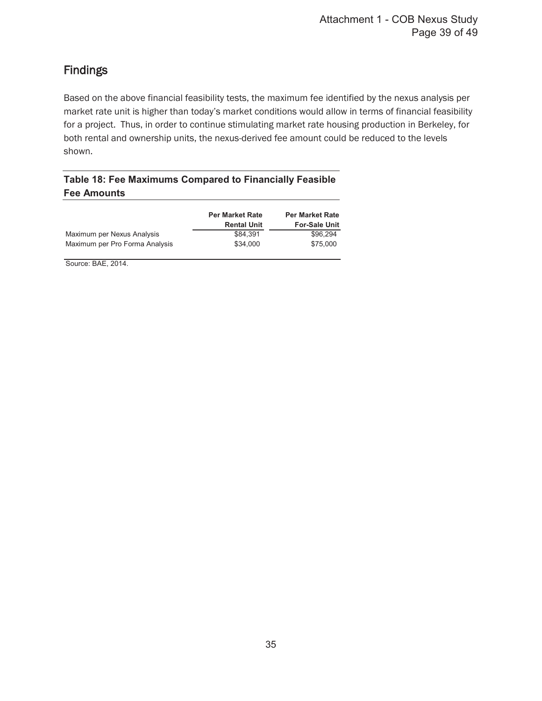#### Findings

Based on the above financial feasibility tests, the maximum fee identified by the nexus analysis per market rate unit is higher than today's market conditions would allow in terms of financial feasibility for a project. Thus, in order to continue stimulating market rate housing production in Berkeley, for both rental and ownership units, the nexus-derived fee amount could be reduced to the levels shown.

#### **Table 18: Fee Maximums Compared to Financially Feasible Fee Amounts**

|                                | <b>Per Market Rate</b><br><b>Rental Unit</b> | <b>Per Market Rate</b><br><b>For-Sale Unit</b> |
|--------------------------------|----------------------------------------------|------------------------------------------------|
| Maximum per Nexus Analysis     | \$84.391                                     | \$96.294                                       |
| Maximum per Pro Forma Analysis | \$34,000                                     | \$75,000                                       |

Source: BAE, 2014.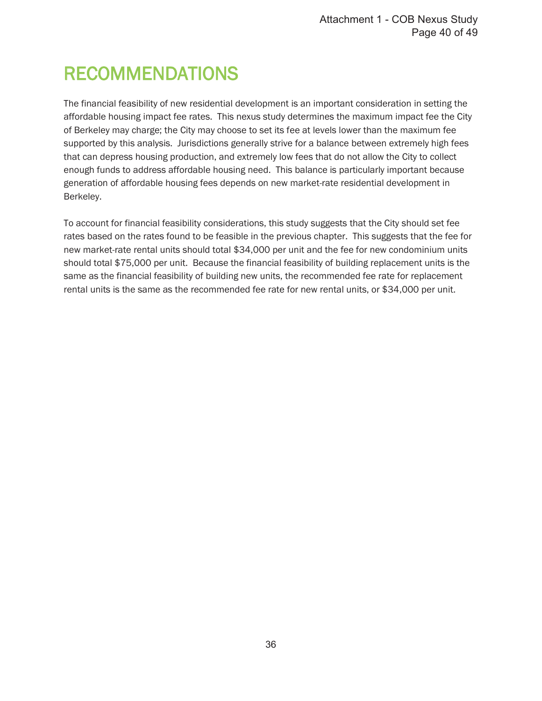# RECOMMENDATIONS

The financial feasibility of new residential development is an important consideration in setting the affordable housing impact fee rates. This nexus study determines the maximum impact fee the City of Berkeley may charge; the City may choose to set its fee at levels lower than the maximum fee supported by this analysis. Jurisdictions generally strive for a balance between extremely high fees that can depress housing production, and extremely low fees that do not allow the City to collect enough funds to address affordable housing need. This balance is particularly important because generation of affordable housing fees depends on new market-rate residential development in Berkeley.

To account for financial feasibility considerations, this study suggests that the City should set fee rates based on the rates found to be feasible in the previous chapter. This suggests that the fee for new market-rate rental units should total \$34,000 per unit and the fee for new condominium units should total \$75,000 per unit. Because the financial feasibility of building replacement units is the same as the financial feasibility of building new units, the recommended fee rate for replacement rental units is the same as the recommended fee rate for new rental units, or \$34,000 per unit.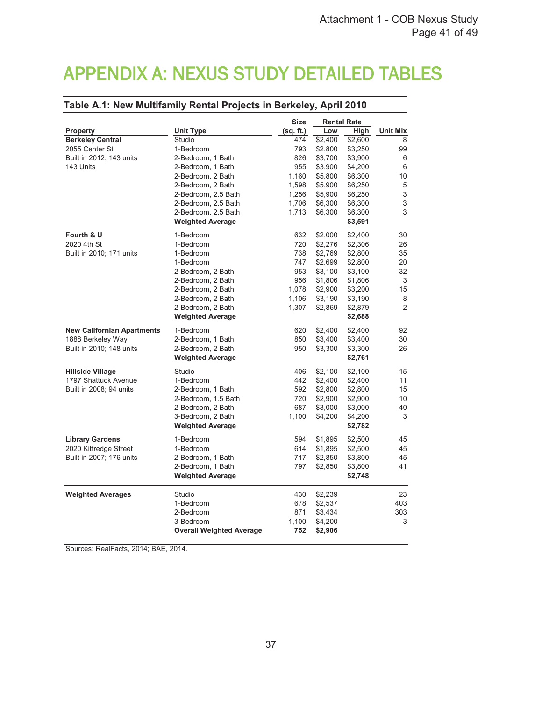# APPENDIX A: NEXUS STUDY DETAILED TABLES

|                                   |                                 | Size      | <b>Rental Rate</b> |         |                 |
|-----------------------------------|---------------------------------|-----------|--------------------|---------|-----------------|
| <b>Property</b>                   | <b>Unit Type</b>                | (sq. ft.) | Low                | High    | <b>Unit Mix</b> |
| <b>Berkeley Central</b>           | Studio                          | 474       | \$2,400            | \$2,600 | 8               |
| 2055 Center St                    | 1-Bedroom                       | 793       | \$2,800            | \$3,250 | 99              |
| Built in 2012; 143 units          | 2-Bedroom, 1 Bath               | 826       | \$3,700            | \$3,900 | 6               |
| 143 Units                         | 2-Bedroom, 1 Bath               | 955       | \$3,900            | \$4,200 | 6               |
|                                   | 2-Bedroom, 2 Bath               | 1,160     | \$5,800            | \$6,300 | 10              |
|                                   | 2-Bedroom, 2 Bath               | 1,598     | \$5,900            | \$6,250 | $\overline{5}$  |
|                                   | 2-Bedroom, 2.5 Bath             | 1,256     | \$5,900            | \$6,250 | 3               |
|                                   | 2-Bedroom, 2.5 Bath             | 1,706     | \$6,300            | \$6,300 | 3               |
|                                   | 2-Bedroom, 2.5 Bath             | 1,713     | \$6,300            | \$6,300 | 3               |
|                                   | <b>Weighted Average</b>         |           |                    | \$3,591 |                 |
| Fourth & U                        | 1-Bedroom                       | 632       | \$2,000            | \$2,400 | 30              |
| 2020 4th St                       | 1-Bedroom                       | 720       | \$2,276            | \$2,306 | 26              |
| Built in 2010; 171 units          | 1-Bedroom                       | 738       | \$2,769            | \$2,800 | 35              |
|                                   | 1-Bedroom                       | 747       | \$2,699            | \$2,800 | 20              |
|                                   | 2-Bedroom, 2 Bath               | 953       | \$3,100            | \$3,100 | 32              |
|                                   | 2-Bedroom, 2 Bath               | 956       | \$1,806            | \$1,806 | 3               |
|                                   | 2-Bedroom, 2 Bath               | 1,078     | \$2,900            | \$3,200 | 15              |
|                                   | 2-Bedroom, 2 Bath               | 1,106     | \$3,190            | \$3,190 | 8               |
|                                   | 2-Bedroom, 2 Bath               | 1,307     | \$2,869            | \$2,879 | $\overline{2}$  |
|                                   | <b>Weighted Average</b>         |           |                    | \$2,688 |                 |
| <b>New Californian Apartments</b> | 1-Bedroom                       | 620       | \$2,400            | \$2,400 | 92              |
| 1888 Berkeley Way                 | 2-Bedroom, 1 Bath               | 850       | \$3,400            | \$3,400 | 30              |
| Built in 2010; 148 units          | 2-Bedroom, 2 Bath               | 950       | \$3,300            | \$3,300 | 26              |
|                                   | <b>Weighted Average</b>         |           |                    | \$2,761 |                 |
| <b>Hillside Village</b>           | Studio                          | 406       | \$2,100            | \$2,100 | 15              |
| 1797 Shattuck Avenue              | 1-Bedroom                       | 442       | \$2,400            | \$2,400 | 11              |
| Built in 2008; 94 units           | 2-Bedroom, 1 Bath               | 592       | \$2,800            | \$2,800 | 15              |
|                                   | 2-Bedroom, 1.5 Bath             | 720       | \$2,900            | \$2,900 | 10              |
|                                   | 2-Bedroom, 2 Bath               | 687       | \$3,000            | \$3,000 | 40              |
|                                   | 3-Bedroom, 2 Bath               | 1,100     | \$4,200            | \$4,200 | 3               |
|                                   | <b>Weighted Average</b>         |           |                    | \$2,782 |                 |
| <b>Library Gardens</b>            | 1-Bedroom                       | 594       | \$1,895            | \$2,500 | 45              |
| 2020 Kittredge Street             | 1-Bedroom                       | 614       | \$1,895            | \$2,500 | 45              |
| Built in 2007; 176 units          | 2-Bedroom, 1 Bath               | 717       | \$2,850            | \$3,800 | 45              |
|                                   | 2-Bedroom, 1 Bath               | 797       | \$2,850            | \$3,800 | 41              |
|                                   | <b>Weighted Average</b>         |           |                    | \$2,748 |                 |
| <b>Weighted Averages</b>          | Studio                          | 430       | \$2,239            |         | 23              |
|                                   | 1-Bedroom                       | 678       | \$2,537            |         | 403             |
|                                   | 2-Bedroom                       | 871       | \$3,434            |         | 303             |
|                                   | 3-Bedroom                       | 1,100     | \$4,200            |         | 3               |
|                                   | <b>Overall Weighted Average</b> | 752       | \$2,906            |         |                 |
|                                   |                                 |           |                    |         |                 |

#### **Table A.1: New Multifamily Rental Projects in Berkeley, April 2010**

Sources: RealFacts, 2014; BAE, 2014.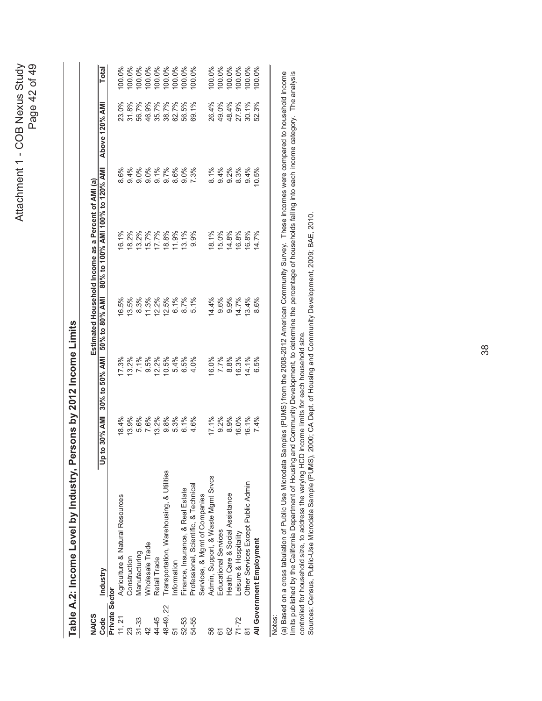| ă           | 2    |
|-------------|------|
| L<br>C<br>C | ope. |
| inam        |      |

# **Table A.2: Income Level by Industry, Persons by 2012 Income Limits**  Table A.2: Income Level by Industry, Persons by 2012 Income Limits

| <b>NAICS</b>          |                                          |               |                |                | Estimated Household Income as a Percent of AMI (a) |         |                |                                                              |
|-----------------------|------------------------------------------|---------------|----------------|----------------|----------------------------------------------------|---------|----------------|--------------------------------------------------------------|
| Code                  | Industry                                 | Up to 30% AMI | 30% to 50% AMI | 50% to 80% AMI | 80% to 100% AMI 100% to 120% AMI                   |         | Above 120% AMI | Total                                                        |
| <b>Private Sector</b> |                                          |               |                |                |                                                    |         |                |                                                              |
| 11, 21                | Agriculture & Natural Resources          | 18.4%         | 17.3%          | 16.5%          | 16.1%                                              | 8.6%    | 23.0%          | 100.0%                                                       |
| 23                    | Construction                             | 13.9%         | 13.2%          | 13.5%          | 18.2%                                              | 9.4%    | 31.8%          | 100.0%                                                       |
| $31 - 33$             | Manufacturing                            | 5.6%          | 7.1%           | 8.3%           | 13.2%                                              | 9.0%    | 56.7%          |                                                              |
| 42                    | Wholesale Trade                          | 7.6%          | 9.5%           | 11.3%          | 15.7%                                              | $9.0\%$ | 46.9%          | 100.0%<br>100.0%                                             |
| 44-45                 | Retail Trade                             | 13.2%         | 12.2%          | 12.2%          | 17.7%                                              | 9.1%    | 35.7%          | 100.0%                                                       |
| 48-49, 22             | Transportation, Warehousing, & Utilities | 9.8%          | 10.5%          | 12.5%          | 18.8%                                              | 9.7%    | 38.7%          |                                                              |
|                       | Information                              | 5.3%          | 5.4%           | 6.1%           | 11.9%                                              | 8.6%    | 62.7%          | 100.0%<br>100.0%                                             |
| 52-53                 | Finance, Insurance, & Real Estate        | 6.1%          | 6.5%           | 8.7%           | 13.1%                                              | 9.0%    | 56.5%          | 100.0%                                                       |
| 54-55                 | Professional, Scientific, & Technical    | 4.6%          | 4.0%           | 5.1%           | 9.9%                                               | 7.3%    | 69.1%          | 100.0%                                                       |
|                       | Services, & Mgmt of Companies            |               |                |                |                                                    |         |                |                                                              |
| 56                    | Admin, Support, & Waste Mgmt Srvcs       | 17.1%         | 16.0%          | 14.4%          | 18.1%                                              | 8.1%    | 26.4%          | 100.0%                                                       |
|                       | Educational Services                     | 9.2%          | 7.7%           | 9.6%           | 15.0%                                              | 9.4%    | 49.0%          |                                                              |
| 8                     | Health Care & Social Assistance          | 8.9%          | 8.8%           | 9.9%           | 14.8%                                              | 9.2%    | 48.4%          | $\begin{array}{c} 100.0\% \\ 100.0\% \\ 100.0\% \end{array}$ |
| $71 - 72$             | Leisure & Hospitality                    | 16.0%         | 16.3%          | 14.7%          | 16.8%                                              | 8.3%    | 27.9%<br>30.1% |                                                              |
|                       | Other Services Except Public Admin       | 16.1%         | 14.1%          | 13.4%          | 16.8%                                              | 9.4%    |                | 100.0%                                                       |
|                       | All Government Employment                | 7.4%          | 6.5%           | 8.6%           | 14.7%                                              | 10.5%   | 52.3%          | $00.0\%$                                                     |
| Nhtae:                |                                          |               |                |                |                                                    |         |                |                                                              |
|                       |                                          |               |                |                |                                                    |         |                |                                                              |

Notes:

(a) Based on a cross tabulation of Public Use Microdata Samples (PUMS) from the 2008-2012 American Community Survey. These incomes were compared to household income<br>limits published by the California Department of Housing (a) Based on a cross tabulation of Public Use Microdata Samples (PUMS) from the 2008-2012 American Community Survey. These incomes were compared to household income limits published by the California Department of Housing and Community Development, to determine the percentage of households falling into each income category. The analysis controlled for household size, to address the varying HCD income limits for each household size.<br>Sources: Census, Public-Use Microdata Sample (PUMS), 2000; CA Dept. of Housing and Community Development, 2009; BAE, 2010. controlled for household size, to address the varying HCD income limits for each household size.

Sources: Census, Public-Use Microdata Sample (PUMS), 2000; CA Dept. of Housing and Community Development, 2009; BAE, 2010.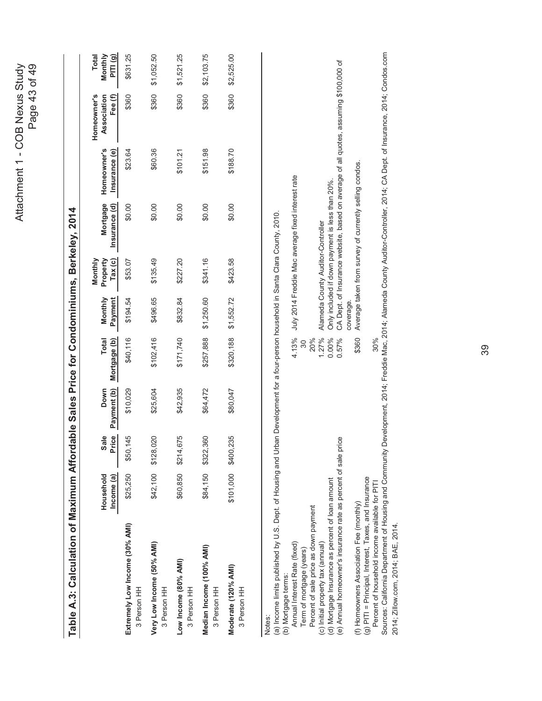| (a) Income limits published by U.S. Dept. of Housing and Urban Development for a four-person household in Santa Clara County, 2010.<br>\$50,145<br>675<br>360<br>235<br>020<br>\$128,<br>\$214,<br>\$322,<br>\$400,<br>\$60,850<br>\$84,150<br>\$42,100<br>\$101,000<br>\$25,250<br>Extremely Low Income (30% AMI)<br>Very Low Income (50% AMI)<br>Median Income (100% AMI)<br>Low Income (80% AMI)<br>Moderate (120% AMI)<br>(b) Mortgage terms:<br>3 Person HH<br>3 Person HH<br>3 Person HH<br>3 Person HH<br>3 Person HH<br>Notes: | \$42,935<br>\$10,029<br>\$64,472<br>\$25,604<br>\$80,047 | \$257,888<br>\$40,116<br>\$102,416<br>\$171,740<br>\$320,188 | \$496.65<br>\$832.84<br>\$1,250.60<br>\$1,552.72<br>\$194.54 | \$135.49<br>\$227.20<br>\$341.16<br>\$53.07 | \$0.00<br>\$0.00                                       |                                                                                                                        | Fee (f) | PITI <sub>(9)</sub> |
|----------------------------------------------------------------------------------------------------------------------------------------------------------------------------------------------------------------------------------------------------------------------------------------------------------------------------------------------------------------------------------------------------------------------------------------------------------------------------------------------------------------------------------------|----------------------------------------------------------|--------------------------------------------------------------|--------------------------------------------------------------|---------------------------------------------|--------------------------------------------------------|------------------------------------------------------------------------------------------------------------------------|---------|---------------------|
|                                                                                                                                                                                                                                                                                                                                                                                                                                                                                                                                        |                                                          |                                                              |                                                              |                                             |                                                        | \$23.64                                                                                                                | \$360   | \$631.25            |
|                                                                                                                                                                                                                                                                                                                                                                                                                                                                                                                                        |                                                          |                                                              |                                                              |                                             |                                                        | \$60.36                                                                                                                | \$360   | \$1,052.50          |
|                                                                                                                                                                                                                                                                                                                                                                                                                                                                                                                                        |                                                          |                                                              |                                                              |                                             | \$0.00                                                 | \$101.21                                                                                                               | \$360   | \$1,521.25          |
|                                                                                                                                                                                                                                                                                                                                                                                                                                                                                                                                        |                                                          |                                                              |                                                              |                                             | \$0.00                                                 | \$151.98                                                                                                               | \$360   | \$2,103.75          |
|                                                                                                                                                                                                                                                                                                                                                                                                                                                                                                                                        |                                                          |                                                              |                                                              | \$423.58                                    | \$0.00                                                 | \$188.70                                                                                                               | \$360   | \$2,525.00          |
|                                                                                                                                                                                                                                                                                                                                                                                                                                                                                                                                        |                                                          |                                                              |                                                              |                                             |                                                        |                                                                                                                        |         |                     |
|                                                                                                                                                                                                                                                                                                                                                                                                                                                                                                                                        |                                                          |                                                              |                                                              |                                             |                                                        |                                                                                                                        |         |                     |
| Annual Interest Rate (fixed)                                                                                                                                                                                                                                                                                                                                                                                                                                                                                                           |                                                          | 4.13%                                                        |                                                              |                                             | July 2014 Freddie Mac average fixed interest rate      |                                                                                                                        |         |                     |
| Term of mortgage (years)                                                                                                                                                                                                                                                                                                                                                                                                                                                                                                               |                                                          | 30                                                           |                                                              |                                             |                                                        |                                                                                                                        |         |                     |
| Percent of sale price as down payment                                                                                                                                                                                                                                                                                                                                                                                                                                                                                                  |                                                          | 20%                                                          |                                                              |                                             |                                                        |                                                                                                                        |         |                     |
| (c) Initial property tax (annual)                                                                                                                                                                                                                                                                                                                                                                                                                                                                                                      |                                                          | 1.27%                                                        |                                                              | Alameda County Auditor-Controller           |                                                        |                                                                                                                        |         |                     |
| (d) Mortgage Insurance as percent of loan amount                                                                                                                                                                                                                                                                                                                                                                                                                                                                                       |                                                          | $0.00\%$                                                     |                                                              |                                             | Only included if down payment is less than 20%.        |                                                                                                                        |         |                     |
| (e) Annual homeowner's insurance rate as percent of sale price                                                                                                                                                                                                                                                                                                                                                                                                                                                                         |                                                          | 0.57%                                                        | coverage.                                                    |                                             |                                                        | CA Dept. of Insurance website, based on average of all quotes, assuming \$100,000 of                                   |         |                     |
| (f) Homeowners Association Fee (monthly)                                                                                                                                                                                                                                                                                                                                                                                                                                                                                               |                                                          | \$360                                                        |                                                              |                                             | Average taken from survey of currently selling condos. |                                                                                                                        |         |                     |
| (g) PITI = Principal, Interest, Taxes, and Insurance                                                                                                                                                                                                                                                                                                                                                                                                                                                                                   |                                                          |                                                              |                                                              |                                             |                                                        |                                                                                                                        |         |                     |
| Percent of household income available for PIT                                                                                                                                                                                                                                                                                                                                                                                                                                                                                          |                                                          | 30%                                                          |                                                              |                                             |                                                        |                                                                                                                        |         |                     |
| Sources: California Department of Housing and Community<br>2014; Zillow.com, 2014; BAE, 2014.                                                                                                                                                                                                                                                                                                                                                                                                                                          |                                                          |                                                              |                                                              |                                             |                                                        | Development, 2014; Freddie Mac, 2014; Alameda County Auditor-Controller, 2014; CA Dept. of Insurance, 2014; Condos.com |         |                     |

Attachment 1 - COB Nexus Study

Attachment 1 - COB Nexus Study<br>Page 43 of 49

Page 43 of 49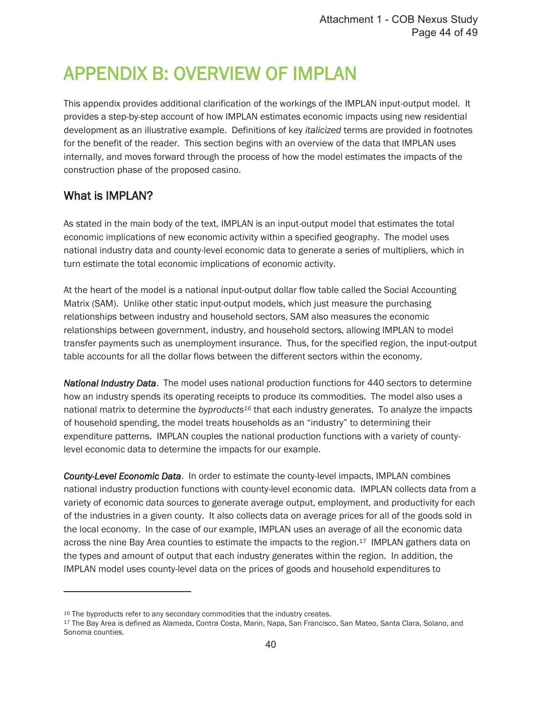# APPENDIX B: OVERVIEW OF IMPLAN

This appendix provides additional clarification of the workings of the IMPLAN input-output model. It provides a step-by-step account of how IMPLAN estimates economic impacts using new residential development as an illustrative example. Definitions of key *italicized* terms are provided in footnotes for the benefit of the reader. This section begins with an overview of the data that IMPLAN uses internally, and moves forward through the process of how the model estimates the impacts of the construction phase of the proposed casino.

#### What is IMPLAN?

 $\overline{a}$ 

As stated in the main body of the text, IMPLAN is an input-output model that estimates the total economic implications of new economic activity within a specified geography. The model uses national industry data and county-level economic data to generate a series of multipliers, which in turn estimate the total economic implications of economic activity.

At the heart of the model is a national input-output dollar flow table called the Social Accounting Matrix (SAM). Unlike other static input-output models, which just measure the purchasing relationships between industry and household sectors, SAM also measures the economic relationships between government, industry, and household sectors, allowing IMPLAN to model transfer payments such as unemployment insurance. Thus, for the specified region, the input-output table accounts for all the dollar flows between the different sectors within the economy.

*National Industry Data*. The model uses national production functions for 440 sectors to determine how an industry spends its operating receipts to produce its commodities. The model also uses a national matrix to determine the *byproducts16* that each industry generates. To analyze the impacts of household spending, the model treats households as an "industry" to determining their expenditure patterns. IMPLAN couples the national production functions with a variety of countylevel economic data to determine the impacts for our example.

*County-Level Economic Data*. In order to estimate the county-level impacts, IMPLAN combines national industry production functions with county-level economic data. IMPLAN collects data from a variety of economic data sources to generate average output, employment, and productivity for each of the industries in a given county. It also collects data on average prices for all of the goods sold in the local economy. In the case of our example, IMPLAN uses an average of all the economic data across the nine Bay Area counties to estimate the impacts to the region.17 IMPLAN gathers data on the types and amount of output that each industry generates within the region. In addition, the IMPLAN model uses county-level data on the prices of goods and household expenditures to

<sup>&</sup>lt;sup>16</sup> The byproducts refer to any secondary commodities that the industry creates.<br><sup>17</sup> The Bay Area is defined as Alameda, Contra Costa, Marin, Napa, San Francisco, San Mateo, Santa Clara, Solano, and Sonoma counties.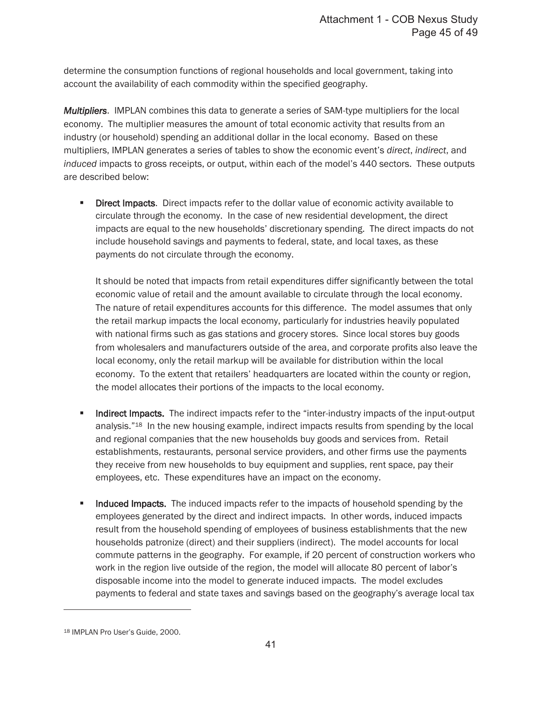determine the consumption functions of regional households and local government, taking into account the availability of each commodity within the specified geography.

*Multipliers*. IMPLAN combines this data to generate a series of SAM-type multipliers for the local economy. The multiplier measures the amount of total economic activity that results from an industry (or household) spending an additional dollar in the local economy. Based on these multipliers, IMPLAN generates a series of tables to show the economic event's *direct*, *indirect*, and *induced* impacts to gross receipts, or output, within each of the model's 440 sectors. These outputs are described below:

- Direct Impacts. Direct impacts refer to the dollar value of economic activity available to circulate through the economy. In the case of new residential development, the direct impacts are equal to the new households' discretionary spending. The direct impacts do not include household savings and payments to federal, state, and local taxes, as these payments do not circulate through the economy.

It should be noted that impacts from retail expenditures differ significantly between the total economic value of retail and the amount available to circulate through the local economy. The nature of retail expenditures accounts for this difference. The model assumes that only the retail markup impacts the local economy, particularly for industries heavily populated with national firms such as gas stations and grocery stores. Since local stores buy goods from wholesalers and manufacturers outside of the area, and corporate profits also leave the local economy, only the retail markup will be available for distribution within the local economy. To the extent that retailers' headquarters are located within the county or region, the model allocates their portions of the impacts to the local economy.

- -Indirect Impacts. The indirect impacts refer to the "inter-industry impacts of the input-output analysis."18 In the new housing example, indirect impacts results from spending by the local and regional companies that the new households buy goods and services from. Retail establishments, restaurants, personal service providers, and other firms use the payments they receive from new households to buy equipment and supplies, rent space, pay their employees, etc. These expenditures have an impact on the economy.
- - Induced Impacts. The induced impacts refer to the impacts of household spending by the employees generated by the direct and indirect impacts. In other words, induced impacts result from the household spending of employees of business establishments that the new households patronize (direct) and their suppliers (indirect). The model accounts for local commute patterns in the geography. For example, if 20 percent of construction workers who work in the region live outside of the region, the model will allocate 80 percent of labor's disposable income into the model to generate induced impacts. The model excludes payments to federal and state taxes and savings based on the geography's average local tax

 $\overline{a}$ 

<sup>18</sup> IMPLAN Pro User's Guide, 2000.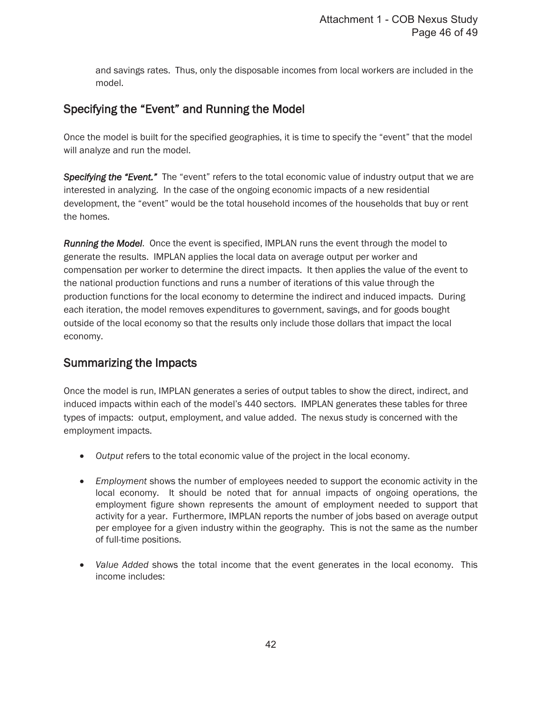and savings rates. Thus, only the disposable incomes from local workers are included in the model.

#### Specifying the "Event" and Running the Model

Once the model is built for the specified geographies, it is time to specify the "event" that the model will analyze and run the model.

*Specifying the "Event."* The "event" refers to the total economic value of industry output that we are interested in analyzing. In the case of the ongoing economic impacts of a new residential development, the "event" would be the total household incomes of the households that buy or rent the homes.

*Running the Model*. Once the event is specified, IMPLAN runs the event through the model to generate the results. IMPLAN applies the local data on average output per worker and compensation per worker to determine the direct impacts. It then applies the value of the event to the national production functions and runs a number of iterations of this value through the production functions for the local economy to determine the indirect and induced impacts. During each iteration, the model removes expenditures to government, savings, and for goods bought outside of the local economy so that the results only include those dollars that impact the local economy.

#### Summarizing the Impacts

Once the model is run, IMPLAN generates a series of output tables to show the direct, indirect, and induced impacts within each of the model's 440 sectors. IMPLAN generates these tables for three types of impacts: output, employment, and value added. The nexus study is concerned with the employment impacts.

- *Output* refers to the total economic value of the project in the local economy.
- *Employment* shows the number of employees needed to support the economic activity in the local economy. It should be noted that for annual impacts of ongoing operations, the employment figure shown represents the amount of employment needed to support that activity for a year. Furthermore, IMPLAN reports the number of jobs based on average output per employee for a given industry within the geography. This is not the same as the number of full-time positions.
- *Value Added* shows the total income that the event generates in the local economy. This income includes: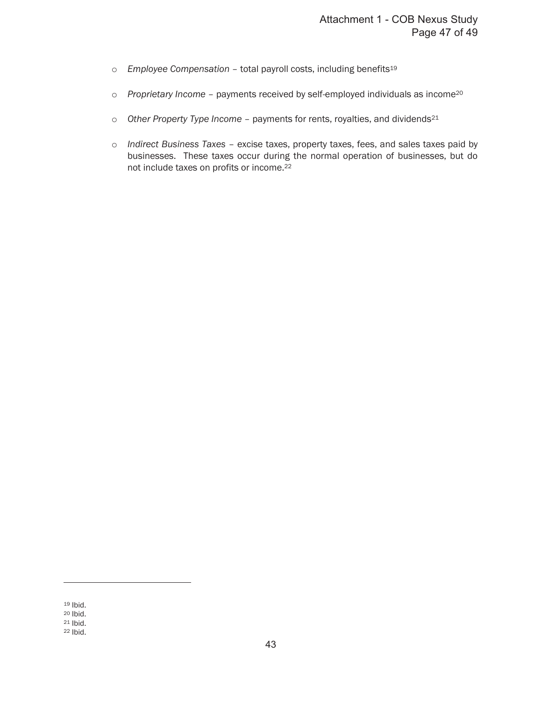- o *Employee Compensation* total payroll costs, including benefits19
- o *Proprietary Income* payments received by self-employed individuals as income20
- o *Other Property Type Income* payments for rents, royalties, and dividends21
- o *Indirect Business Taxes* excise taxes, property taxes, fees, and sales taxes paid by businesses. These taxes occur during the normal operation of businesses, but do not include taxes on profits or income.22

 $\overline{a}$ 

<sup>19</sup> Ibid.

<sup>20</sup> Ibid.

<sup>21</sup> Ibid.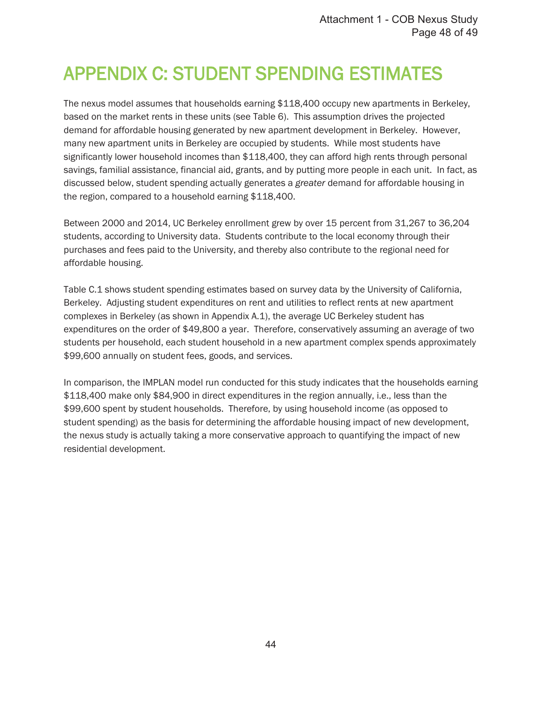# APPENDIX C: STUDENT SPENDING ESTIMATES

The nexus model assumes that households earning \$118,400 occupy new apartments in Berkeley, based on the market rents in these units (see Table 6). This assumption drives the projected demand for affordable housing generated by new apartment development in Berkeley. However, many new apartment units in Berkeley are occupied by students. While most students have significantly lower household incomes than \$118,400, they can afford high rents through personal savings, familial assistance, financial aid, grants, and by putting more people in each unit. In fact, as discussed below, student spending actually generates a *greater* demand for affordable housing in the region, compared to a household earning \$118,400.

Between 2000 and 2014, UC Berkeley enrollment grew by over 15 percent from 31,267 to 36,204 students, according to University data. Students contribute to the local economy through their purchases and fees paid to the University, and thereby also contribute to the regional need for affordable housing.

Table C.1 shows student spending estimates based on survey data by the University of California, Berkeley. Adjusting student expenditures on rent and utilities to reflect rents at new apartment complexes in Berkeley (as shown in Appendix A.1), the average UC Berkeley student has expenditures on the order of \$49,800 a year. Therefore, conservatively assuming an average of two students per household, each student household in a new apartment complex spends approximately \$99,600 annually on student fees, goods, and services.

In comparison, the IMPLAN model run conducted for this study indicates that the households earning \$118,400 make only \$84,900 in direct expenditures in the region annually, i.e., less than the \$99,600 spent by student households. Therefore, by using household income (as opposed to student spending) as the basis for determining the affordable housing impact of new development, the nexus study is actually taking a more conservative approach to quantifying the impact of new residential development.